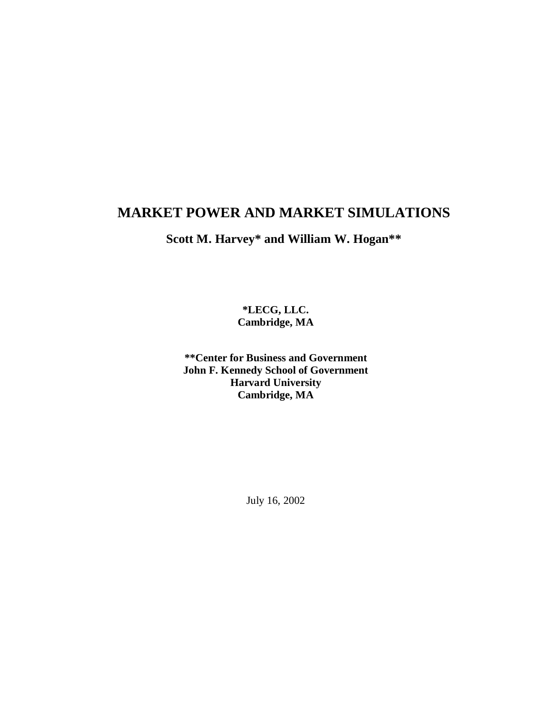# **MARKET POWER AND MARKET SIMULATIONS**

**Scott M. Harvey\* and William W. Hogan\*\***

**\*LECG, LLC. Cambridge, MA**

**\*\*Center for Business and Government John F. Kennedy School of Government Harvard University Cambridge, MA**

July 16, 2002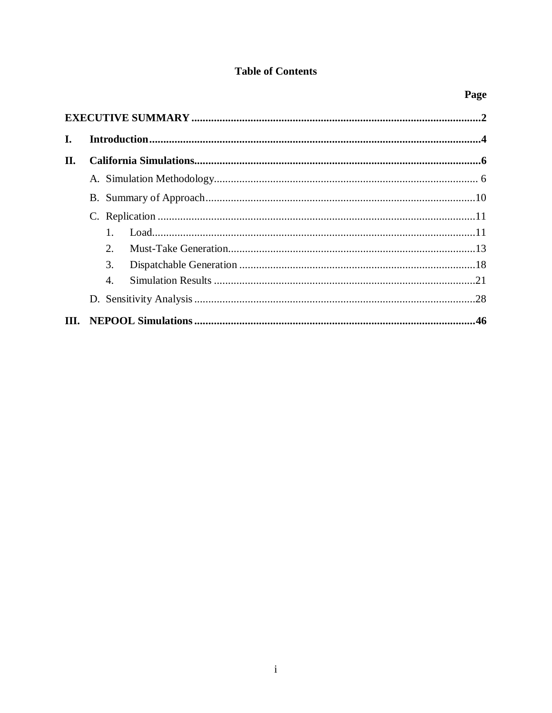# **Table of Contents**

| L.   |                       |  |
|------|-----------------------|--|
| II.  |                       |  |
|      |                       |  |
|      |                       |  |
|      |                       |  |
|      |                       |  |
|      | 2 <sub>1</sub>        |  |
|      | 3.                    |  |
|      | $\mathcal{A}_{\cdot}$ |  |
|      |                       |  |
| III. |                       |  |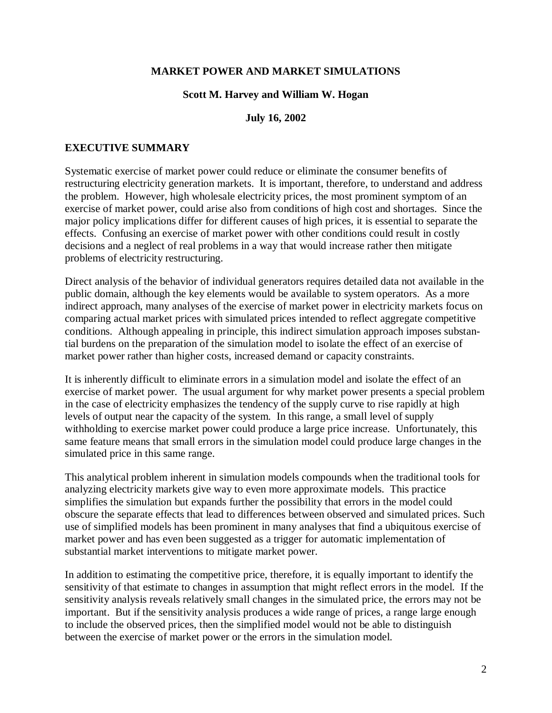#### **MARKET POWER AND MARKET SIMULATIONS**

#### **Scott M. Harvey and William W. Hogan**

#### **July 16, 2002**

#### **EXECUTIVE SUMMARY**

Systematic exercise of market power could reduce or eliminate the consumer benefits of restructuring electricity generation markets. It is important, therefore, to understand and address the problem. However, high wholesale electricity prices, the most prominent symptom of an exercise of market power, could arise also from conditions of high cost and shortages. Since the major policy implications differ for different causes of high prices, it is essential to separate the effects. Confusing an exercise of market power with other conditions could result in costly decisions and a neglect of real problems in a way that would increase rather then mitigate problems of electricity restructuring.

Direct analysis of the behavior of individual generators requires detailed data not available in the public domain, although the key elements would be available to system operators. As a more indirect approach, many analyses of the exercise of market power in electricity markets focus on comparing actual market prices with simulated prices intended to reflect aggregate competitive conditions. Although appealing in principle, this indirect simulation approach imposes substantial burdens on the preparation of the simulation model to isolate the effect of an exercise of market power rather than higher costs, increased demand or capacity constraints.

It is inherently difficult to eliminate errors in a simulation model and isolate the effect of an exercise of market power. The usual argument for why market power presents a special problem in the case of electricity emphasizes the tendency of the supply curve to rise rapidly at high levels of output near the capacity of the system. In this range, a small level of supply withholding to exercise market power could produce a large price increase. Unfortunately, this same feature means that small errors in the simulation model could produce large changes in the simulated price in this same range.

This analytical problem inherent in simulation models compounds when the traditional tools for analyzing electricity markets give way to even more approximate models. This practice simplifies the simulation but expands further the possibility that errors in the model could obscure the separate effects that lead to differences between observed and simulated prices. Such use of simplified models has been prominent in many analyses that find a ubiquitous exercise of market power and has even been suggested as a trigger for automatic implementation of substantial market interventions to mitigate market power.

In addition to estimating the competitive price, therefore, it is equally important to identify the sensitivity of that estimate to changes in assumption that might reflect errors in the model. If the sensitivity analysis reveals relatively small changes in the simulated price, the errors may not be important. But if the sensitivity analysis produces a wide range of prices, a range large enough to include the observed prices, then the simplified model would not be able to distinguish between the exercise of market power or the errors in the simulation model.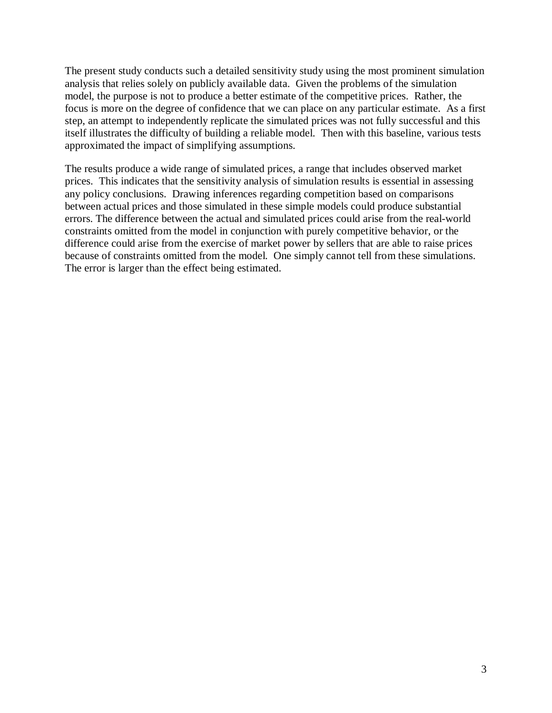The present study conducts such a detailed sensitivity study using the most prominent simulation analysis that relies solely on publicly available data. Given the problems of the simulation model, the purpose is not to produce a better estimate of the competitive prices. Rather, the focus is more on the degree of confidence that we can place on any particular estimate. As a first step, an attempt to independently replicate the simulated prices was not fully successful and this itself illustrates the difficulty of building a reliable model. Then with this baseline, various tests approximated the impact of simplifying assumptions.

The results produce a wide range of simulated prices, a range that includes observed market prices. This indicates that the sensitivity analysis of simulation results is essential in assessing any policy conclusions. Drawing inferences regarding competition based on comparisons between actual prices and those simulated in these simple models could produce substantial errors. The difference between the actual and simulated prices could arise from the real-world constraints omitted from the model in conjunction with purely competitive behavior, or the difference could arise from the exercise of market power by sellers that are able to raise prices because of constraints omitted from the model. One simply cannot tell from these simulations. The error is larger than the effect being estimated.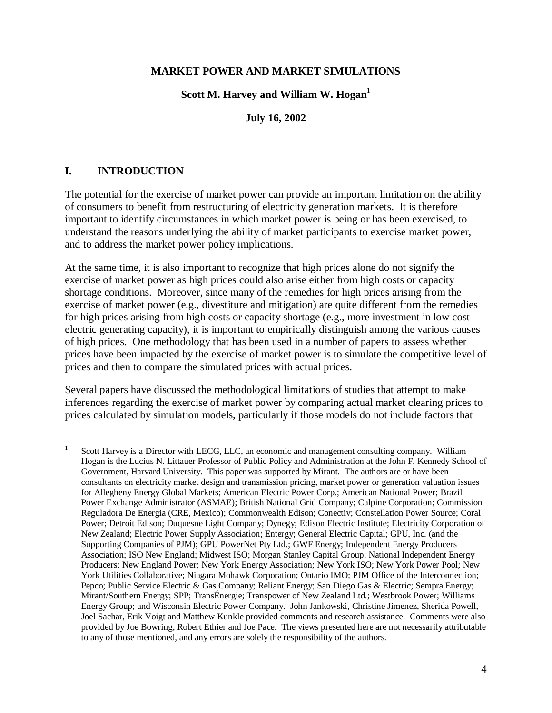#### **MARKET POWER AND MARKET SIMULATIONS**

#### **Scott M. Harvey and William W. Hogan**<sup>1</sup>

#### **July 16, 2002**

### **I. INTRODUCTION**

 $\overline{a}$ 

The potential for the exercise of market power can provide an important limitation on the ability of consumers to benefit from restructuring of electricity generation markets. It is therefore important to identify circumstances in which market power is being or has been exercised, to understand the reasons underlying the ability of market participants to exercise market power, and to address the market power policy implications.

At the same time, it is also important to recognize that high prices alone do not signify the exercise of market power as high prices could also arise either from high costs or capacity shortage conditions. Moreover, since many of the remedies for high prices arising from the exercise of market power (e.g., divestiture and mitigation) are quite different from the remedies for high prices arising from high costs or capacity shortage (e.g., more investment in low cost electric generating capacity), it is important to empirically distinguish among the various causes of high prices. One methodology that has been used in a number of papers to assess whether prices have been impacted by the exercise of market power is to simulate the competitive level of prices and then to compare the simulated prices with actual prices.

Several papers have discussed the methodological limitations of studies that attempt to make inferences regarding the exercise of market power by comparing actual market clearing prices to prices calculated by simulation models, particularly if those models do not include factors that

<sup>1</sup> Scott Harvey is a Director with LECG, LLC, an economic and management consulting company. William Hogan is the Lucius N. Littauer Professor of Public Policy and Administration at the John F. Kennedy School of Government, Harvard University. This paper was supported by Mirant. The authors are or have been consultants on electricity market design and transmission pricing, market power or generation valuation issues for Allegheny Energy Global Markets; American Electric Power Corp.; American National Power; Brazil Power Exchange Administrator (ASMAE); British National Grid Company; Calpine Corporation; Commission Reguladora De Energia (CRE, Mexico); Commonwealth Edison; Conectiv; Constellation Power Source; Coral Power; Detroit Edison; Duquesne Light Company; Dynegy; Edison Electric Institute; Electricity Corporation of New Zealand; Electric Power Supply Association; Entergy; General Electric Capital; GPU, Inc. (and the Supporting Companies of PJM); GPU PowerNet Pty Ltd.; GWF Energy; Independent Energy Producers Association; ISO New England; Midwest ISO; Morgan Stanley Capital Group; National Independent Energy Producers; New England Power; New York Energy Association; New York ISO; New York Power Pool; New York Utilities Collaborative; Niagara Mohawk Corporation; Ontario IMO; PJM Office of the Interconnection; Pepco; Public Service Electric & Gas Company; Reliant Energy; San Diego Gas & Electric; Sempra Energy; Mirant/Southern Energy; SPP; TransÉnergie; Transpower of New Zealand Ltd.; Westbrook Power; Williams Energy Group; and Wisconsin Electric Power Company. John Jankowski, Christine Jimenez, Sherida Powell, Joel Sachar, Erik Voigt and Matthew Kunkle provided comments and research assistance. Comments were also provided by Joe Bowring, Robert Ethier and Joe Pace. The views presented here are not necessarily attributable to any of those mentioned, and any errors are solely the responsibility of the authors.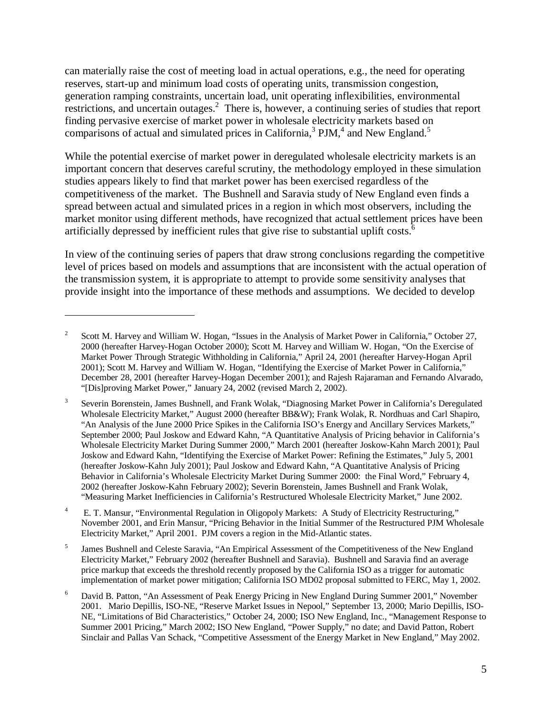can materially raise the cost of meeting load in actual operations, e.g., the need for operating reserves, start-up and minimum load costs of operating units, transmission congestion, generation ramping constraints, uncertain load, unit operating inflexibilities, environmental restrictions, and uncertain outages. $2$  There is, however, a continuing series of studies that report finding pervasive exercise of market power in wholesale electricity markets based on comparisons of actual and simulated prices in California,<sup>3</sup> PJM,<sup>4</sup> and New England.<sup>5</sup>

While the potential exercise of market power in deregulated wholesale electricity markets is an important concern that deserves careful scrutiny, the methodology employed in these simulation studies appears likely to find that market power has been exercised regardless of the competitiveness of the market. The Bushnell and Saravia study of New England even finds a spread between actual and simulated prices in a region in which most observers, including the market monitor using different methods, have recognized that actual settlement prices have been artificially depressed by inefficient rules that give rise to substantial uplift costs.<sup>6</sup>

In view of the continuing series of papers that draw strong conclusions regarding the competitive level of prices based on models and assumptions that are inconsistent with the actual operation of the transmission system, it is appropriate to attempt to provide some sensitivity analyses that provide insight into the importance of these methods and assumptions. We decided to develop

<sup>2</sup> Scott M. Harvey and William W. Hogan, "Issues in the Analysis of Market Power in California," October 27, 2000 (hereafter Harvey-Hogan October 2000); Scott M. Harvey and William W. Hogan, "On the Exercise of Market Power Through Strategic Withholding in California," April 24, 2001 (hereafter Harvey-Hogan April 2001); Scott M. Harvey and William W. Hogan, "Identifying the Exercise of Market Power in California," December 28, 2001 (hereafter Harvey-Hogan December 2001); and Rajesh Rajaraman and Fernando Alvarado, "[Dis]proving Market Power," January 24, 2002 (revised March 2, 2002).

<sup>3</sup> Severin Borenstein, James Bushnell, and Frank Wolak, "Diagnosing Market Power in California's Deregulated Wholesale Electricity Market," August 2000 (hereafter BB&W); Frank Wolak, R. Nordhuas and Carl Shapiro, "An Analysis of the June 2000 Price Spikes in the California ISO's Energy and Ancillary Services Markets," September 2000; Paul Joskow and Edward Kahn, "A Quantitative Analysis of Pricing behavior in California's Wholesale Electricity Market During Summer 2000," March 2001 (hereafter Joskow-Kahn March 2001); Paul Joskow and Edward Kahn, "Identifying the Exercise of Market Power: Refining the Estimates," July 5, 2001 (hereafter Joskow-Kahn July 2001); Paul Joskow and Edward Kahn, "A Quantitative Analysis of Pricing Behavior in California's Wholesale Electricity Market During Summer 2000: the Final Word," February 4, 2002 (hereafter Joskow-Kahn February 2002); Severin Borenstein, James Bushnell and Frank Wolak, "Measuring Market Inefficiencies in California's Restructured Wholesale Electricity Market," June 2002.

<sup>4</sup> E. T. Mansur, "Environmental Regulation in Oligopoly Markets: A Study of Electricity Restructuring," November 2001, and Erin Mansur, "Pricing Behavior in the Initial Summer of the Restructured PJM Wholesale Electricity Market," April 2001. PJM covers a region in the Mid-Atlantic states.

<sup>5</sup> James Bushnell and Celeste Saravia, "An Empirical Assessment of the Competitiveness of the New England Electricity Market," February 2002 (hereafter Bushnell and Saravia). Bushnell and Saravia find an average price markup that exceeds the threshold recently proposed by the California ISO as a trigger for automatic implementation of market power mitigation; California ISO MD02 proposal submitted to FERC, May 1, 2002.

<sup>6</sup> David B. Patton, "An Assessment of Peak Energy Pricing in New England During Summer 2001," November 2001. Mario Depillis, ISO-NE, "Reserve Market Issues in Nepool," September 13, 2000; Mario Depillis, ISO-NE, "Limitations of Bid Characteristics," October 24, 2000; ISO New England, Inc., "Management Response to Summer 2001 Pricing," March 2002; ISO New England, "Power Supply," no date; and David Patton, Robert Sinclair and Pallas Van Schack, "Competitive Assessment of the Energy Market in New England," May 2002.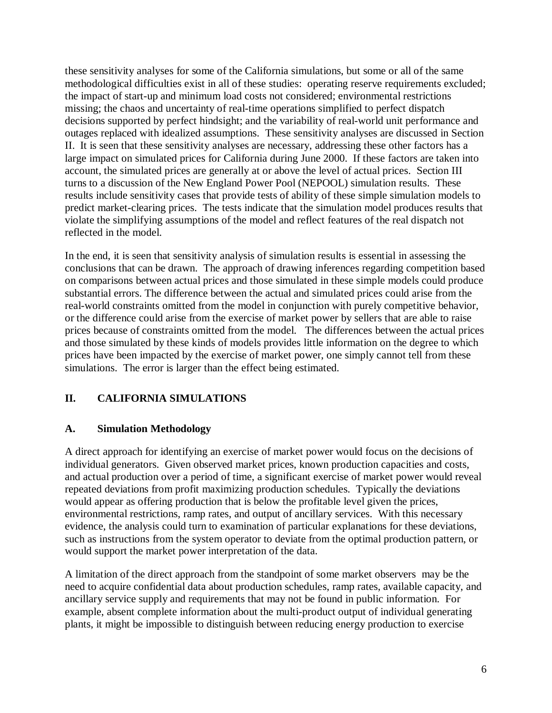these sensitivity analyses for some of the California simulations, but some or all of the same methodological difficulties exist in all of these studies: operating reserve requirements excluded; the impact of start-up and minimum load costs not considered; environmental restrictions missing; the chaos and uncertainty of real-time operations simplified to perfect dispatch decisions supported by perfect hindsight; and the variability of real-world unit performance and outages replaced with idealized assumptions. These sensitivity analyses are discussed in Section II. It is seen that these sensitivity analyses are necessary, addressing these other factors has a large impact on simulated prices for California during June 2000. If these factors are taken into account, the simulated prices are generally at or above the level of actual prices. Section III turns to a discussion of the New England Power Pool (NEPOOL) simulation results. These results include sensitivity cases that provide tests of ability of these simple simulation models to predict market-clearing prices. The tests indicate that the simulation model produces results that violate the simplifying assumptions of the model and reflect features of the real dispatch not reflected in the model.

In the end, it is seen that sensitivity analysis of simulation results is essential in assessing the conclusions that can be drawn. The approach of drawing inferences regarding competition based on comparisons between actual prices and those simulated in these simple models could produce substantial errors. The difference between the actual and simulated prices could arise from the real-world constraints omitted from the model in conjunction with purely competitive behavior, or the difference could arise from the exercise of market power by sellers that are able to raise prices because of constraints omitted from the model. The differences between the actual prices and those simulated by these kinds of models provides little information on the degree to which prices have been impacted by the exercise of market power, one simply cannot tell from these simulations. The error is larger than the effect being estimated.

# **II. CALIFORNIA SIMULATIONS**

### **A. Simulation Methodology**

A direct approach for identifying an exercise of market power would focus on the decisions of individual generators. Given observed market prices, known production capacities and costs, and actual production over a period of time, a significant exercise of market power would reveal repeated deviations from profit maximizing production schedules. Typically the deviations would appear as offering production that is below the profitable level given the prices, environmental restrictions, ramp rates, and output of ancillary services. With this necessary evidence, the analysis could turn to examination of particular explanations for these deviations, such as instructions from the system operator to deviate from the optimal production pattern, or would support the market power interpretation of the data.

A limitation of the direct approach from the standpoint of some market observers may be the need to acquire confidential data about production schedules, ramp rates, available capacity, and ancillary service supply and requirements that may not be found in public information. For example, absent complete information about the multi-product output of individual generating plants, it might be impossible to distinguish between reducing energy production to exercise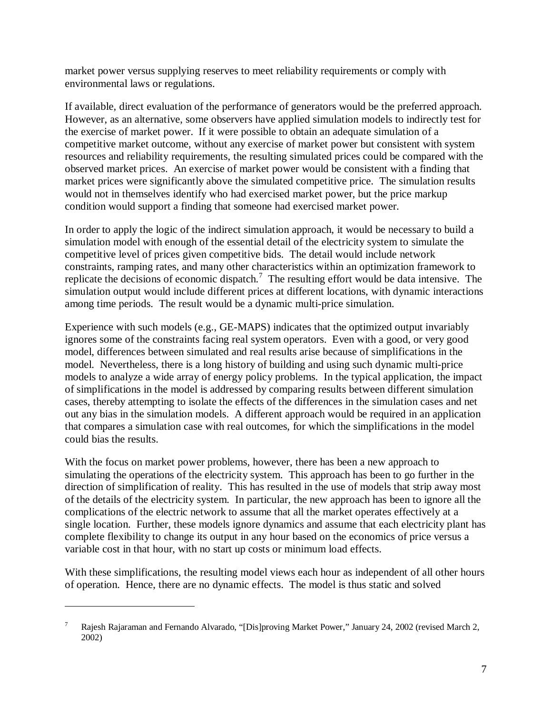market power versus supplying reserves to meet reliability requirements or comply with environmental laws or regulations.

If available, direct evaluation of the performance of generators would be the preferred approach. However, as an alternative, some observers have applied simulation models to indirectly test for the exercise of market power. If it were possible to obtain an adequate simulation of a competitive market outcome, without any exercise of market power but consistent with system resources and reliability requirements, the resulting simulated prices could be compared with the observed market prices. An exercise of market power would be consistent with a finding that market prices were significantly above the simulated competitive price. The simulation results would not in themselves identify who had exercised market power, but the price markup condition would support a finding that someone had exercised market power.

In order to apply the logic of the indirect simulation approach, it would be necessary to build a simulation model with enough of the essential detail of the electricity system to simulate the competitive level of prices given competitive bids. The detail would include network constraints, ramping rates, and many other characteristics within an optimization framework to replicate the decisions of economic dispatch.<sup>7</sup> The resulting effort would be data intensive. The simulation output would include different prices at different locations, with dynamic interactions among time periods. The result would be a dynamic multi-price simulation.

Experience with such models (e.g., GE-MAPS) indicates that the optimized output invariably ignores some of the constraints facing real system operators. Even with a good, or very good model, differences between simulated and real results arise because of simplifications in the model. Nevertheless, there is a long history of building and using such dynamic multi-price models to analyze a wide array of energy policy problems. In the typical application, the impact of simplifications in the model is addressed by comparing results between different simulation cases, thereby attempting to isolate the effects of the differences in the simulation cases and net out any bias in the simulation models. A different approach would be required in an application that compares a simulation case with real outcomes, for which the simplifications in the model could bias the results.

With the focus on market power problems, however, there has been a new approach to simulating the operations of the electricity system. This approach has been to go further in the direction of simplification of reality. This has resulted in the use of models that strip away most of the details of the electricity system. In particular, the new approach has been to ignore all the complications of the electric network to assume that all the market operates effectively at a single location. Further, these models ignore dynamics and assume that each electricity plant has complete flexibility to change its output in any hour based on the economics of price versus a variable cost in that hour, with no start up costs or minimum load effects.

With these simplifications, the resulting model views each hour as independent of all other hours of operation. Hence, there are no dynamic effects. The model is thus static and solved

<sup>7</sup> Rajesh Rajaraman and Fernando Alvarado, "[Dis]proving Market Power," January 24, 2002 (revised March 2, 2002)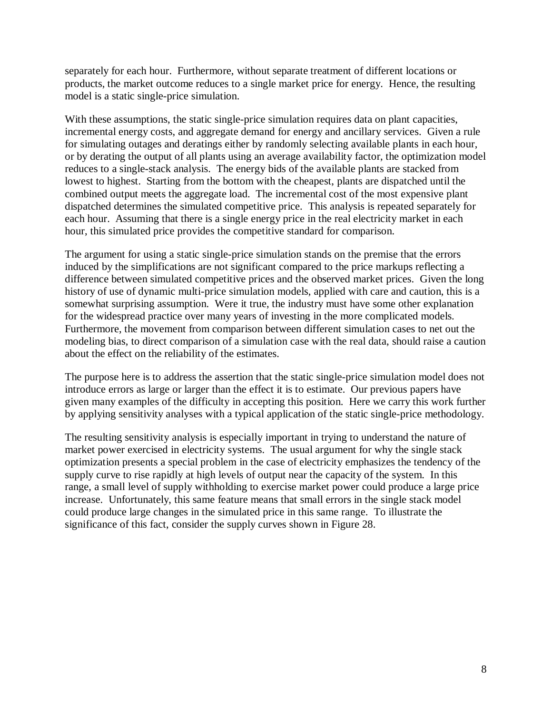separately for each hour. Furthermore, without separate treatment of different locations or products, the market outcome reduces to a single market price for energy. Hence, the resulting model is a static single-price simulation.

With these assumptions, the static single-price simulation requires data on plant capacities, incremental energy costs, and aggregate demand for energy and ancillary services. Given a rule for simulating outages and deratings either by randomly selecting available plants in each hour, or by derating the output of all plants using an average availability factor, the optimization model reduces to a single-stack analysis. The energy bids of the available plants are stacked from lowest to highest. Starting from the bottom with the cheapest, plants are dispatched until the combined output meets the aggregate load. The incremental cost of the most expensive plant dispatched determines the simulated competitive price. This analysis is repeated separately for each hour. Assuming that there is a single energy price in the real electricity market in each hour, this simulated price provides the competitive standard for comparison.

The argument for using a static single-price simulation stands on the premise that the errors induced by the simplifications are not significant compared to the price markups reflecting a difference between simulated competitive prices and the observed market prices. Given the long history of use of dynamic multi-price simulation models, applied with care and caution, this is a somewhat surprising assumption. Were it true, the industry must have some other explanation for the widespread practice over many years of investing in the more complicated models. Furthermore, the movement from comparison between different simulation cases to net out the modeling bias, to direct comparison of a simulation case with the real data, should raise a caution about the effect on the reliability of the estimates.

The purpose here is to address the assertion that the static single-price simulation model does not introduce errors as large or larger than the effect it is to estimate. Our previous papers have given many examples of the difficulty in accepting this position. Here we carry this work further by applying sensitivity analyses with a typical application of the static single-price methodology.

The resulting sensitivity analysis is especially important in trying to understand the nature of market power exercised in electricity systems. The usual argument for why the single stack optimization presents a special problem in the case of electricity emphasizes the tendency of the supply curve to rise rapidly at high levels of output near the capacity of the system. In this range, a small level of supply withholding to exercise market power could produce a large price increase. Unfortunately, this same feature means that small errors in the single stack model could produce large changes in the simulated price in this same range. To illustrate the significance of this fact, consider the supply curves shown in Figure 28.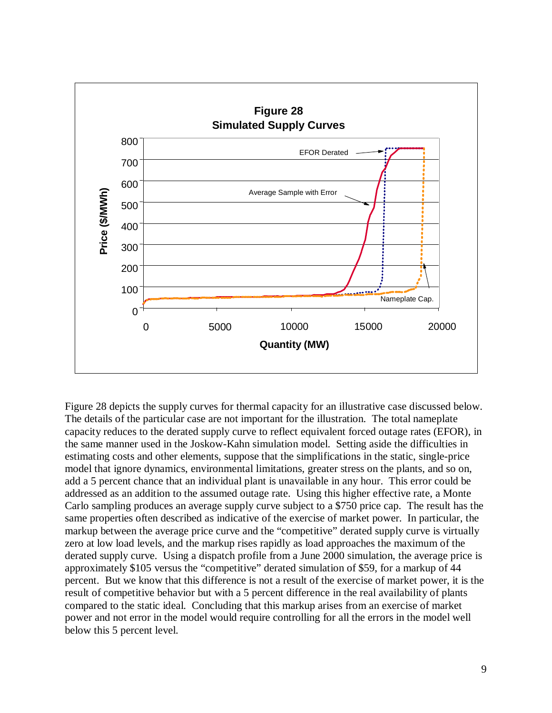

Figure 28 depicts the supply curves for thermal capacity for an illustrative case discussed below. The details of the particular case are not important for the illustration. The total nameplate capacity reduces to the derated supply curve to reflect equivalent forced outage rates (EFOR), in the same manner used in the Joskow-Kahn simulation model. Setting aside the difficulties in estimating costs and other elements, suppose that the simplifications in the static, single-price model that ignore dynamics, environmental limitations, greater stress on the plants, and so on, add a 5 percent chance that an individual plant is unavailable in any hour. This error could be addressed as an addition to the assumed outage rate. Using this higher effective rate, a Monte Carlo sampling produces an average supply curve subject to a \$750 price cap. The result has the same properties often described as indicative of the exercise of market power. In particular, the markup between the average price curve and the "competitive" derated supply curve is virtually zero at low load levels, and the markup rises rapidly as load approaches the maximum of the derated supply curve. Using a dispatch profile from a June 2000 simulation, the average price is approximately \$105 versus the "competitive" derated simulation of \$59, for a markup of 44 percent. But we know that this difference is not a result of the exercise of market power, it is the result of competitive behavior but with a 5 percent difference in the real availability of plants compared to the static ideal. Concluding that this markup arises from an exercise of market power and not error in the model would require controlling for all the errors in the model well below this 5 percent level.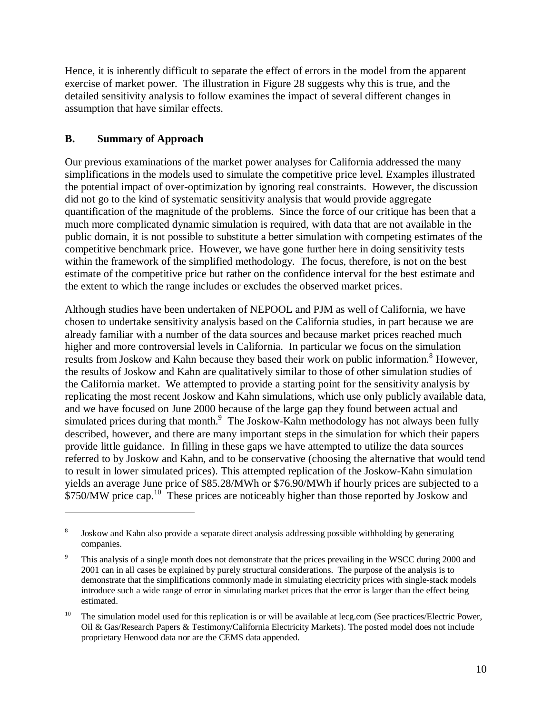Hence, it is inherently difficult to separate the effect of errors in the model from the apparent exercise of market power. The illustration in Figure 28 suggests why this is true, and the detailed sensitivity analysis to follow examines the impact of several different changes in assumption that have similar effects.

### **B. Summary of Approach**

 $\overline{a}$ 

Our previous examinations of the market power analyses for California addressed the many simplifications in the models used to simulate the competitive price level. Examples illustrated the potential impact of over-optimization by ignoring real constraints. However, the discussion did not go to the kind of systematic sensitivity analysis that would provide aggregate quantification of the magnitude of the problems. Since the force of our critique has been that a much more complicated dynamic simulation is required, with data that are not available in the public domain, it is not possible to substitute a better simulation with competing estimates of the competitive benchmark price. However, we have gone further here in doing sensitivity tests within the framework of the simplified methodology. The focus, therefore, is not on the best estimate of the competitive price but rather on the confidence interval for the best estimate and the extent to which the range includes or excludes the observed market prices.

Although studies have been undertaken of NEPOOL and PJM as well of California, we have chosen to undertake sensitivity analysis based on the California studies, in part because we are already familiar with a number of the data sources and because market prices reached much higher and more controversial levels in California. In particular we focus on the simulation results from Joskow and Kahn because they based their work on public information.<sup>8</sup> However, the results of Joskow and Kahn are qualitatively similar to those of other simulation studies of the California market. We attempted to provide a starting point for the sensitivity analysis by replicating the most recent Joskow and Kahn simulations, which use only publicly available data, and we have focused on June 2000 because of the large gap they found between actual and simulated prices during that month.<sup>9</sup> The Joskow-Kahn methodology has not always been fully described, however, and there are many important steps in the simulation for which their papers provide little guidance. In filling in these gaps we have attempted to utilize the data sources referred to by Joskow and Kahn, and to be conservative (choosing the alternative that would tend to result in lower simulated prices). This attempted replication of the Joskow-Kahn simulation yields an average June price of \$85.28/MWh or \$76.90/MWh if hourly prices are subjected to a \$750/MW price cap.<sup>10</sup> These prices are noticeably higher than those reported by Joskow and

<sup>8</sup> Joskow and Kahn also provide a separate direct analysis addressing possible withholding by generating companies.

<sup>9</sup> This analysis of a single month does not demonstrate that the prices prevailing in the WSCC during 2000 and 2001 can in all cases be explained by purely structural considerations. The purpose of the analysis is to demonstrate that the simplifications commonly made in simulating electricity prices with single-stack models introduce such a wide range of error in simulating market prices that the error is larger than the effect being estimated.

<sup>&</sup>lt;sup>10</sup> The simulation model used for this replication is or will be available at lecg.com (See practices/Electric Power, Oil & Gas/Research Papers & Testimony/California Electricity Markets). The posted model does not include proprietary Henwood data nor are the CEMS data appended.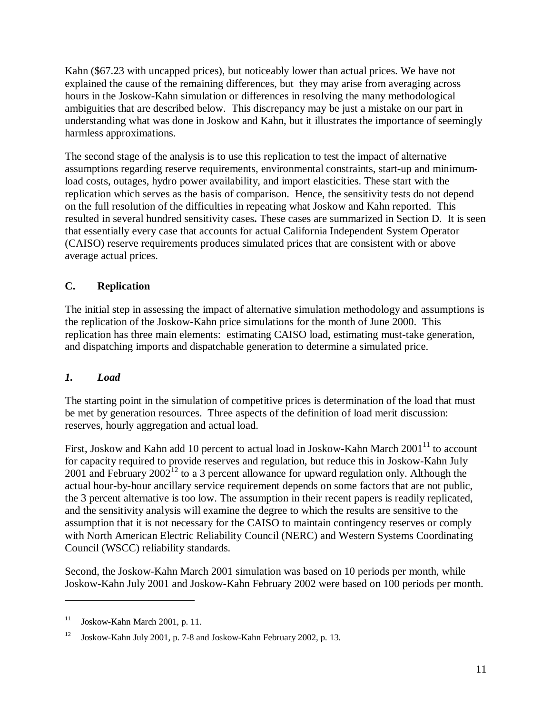Kahn (\$67.23 with uncapped prices), but noticeably lower than actual prices. We have not explained the cause of the remaining differences, but they may arise from averaging across hours in the Joskow-Kahn simulation or differences in resolving the many methodological ambiguities that are described below. This discrepancy may be just a mistake on our part in understanding what was done in Joskow and Kahn, but it illustrates the importance of seemingly harmless approximations.

The second stage of the analysis is to use this replication to test the impact of alternative assumptions regarding reserve requirements, environmental constraints, start-up and minimumload costs, outages, hydro power availability, and import elasticities. These start with the replication which serves as the basis of comparison. Hence, the sensitivity tests do not depend on the full resolution of the difficulties in repeating what Joskow and Kahn reported. This resulted in several hundred sensitivity cases**.** These cases are summarized in Section D. It is seen that essentially every case that accounts for actual California Independent System Operator (CAISO) reserve requirements produces simulated prices that are consistent with or above average actual prices.

# **C. Replication**

The initial step in assessing the impact of alternative simulation methodology and assumptions is the replication of the Joskow-Kahn price simulations for the month of June 2000. This replication has three main elements: estimating CAISO load, estimating must-take generation, and dispatching imports and dispatchable generation to determine a simulated price.

### *1. Load*

 $\overline{a}$ 

The starting point in the simulation of competitive prices is determination of the load that must be met by generation resources. Three aspects of the definition of load merit discussion: reserves, hourly aggregation and actual load.

First, Joskow and Kahn add 10 percent to actual load in Joskow-Kahn March  $2001<sup>11</sup>$  to account for capacity required to provide reserves and regulation, but reduce this in Joskow-Kahn July 2001 and February 2002<sup>12</sup> to a 3 percent allowance for upward regulation only. Although the actual hour-by-hour ancillary service requirement depends on some factors that are not public, the 3 percent alternative is too low. The assumption in their recent papers is readily replicated, and the sensitivity analysis will examine the degree to which the results are sensitive to the assumption that it is not necessary for the CAISO to maintain contingency reserves or comply with North American Electric Reliability Council (NERC) and Western Systems Coordinating Council (WSCC) reliability standards.

Second, the Joskow-Kahn March 2001 simulation was based on 10 periods per month, while Joskow-Kahn July 2001 and Joskow-Kahn February 2002 were based on 100 periods per month.

 $11$  Joskow-Kahn March 2001, p. 11.

<sup>12</sup> Joskow-Kahn July 2001, p. 7-8 and Joskow-Kahn February 2002, p. 13.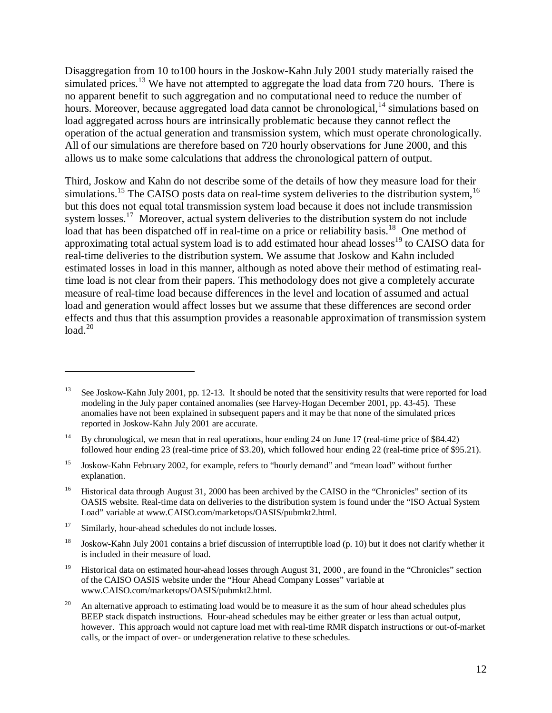Disaggregation from 10 to100 hours in the Joskow-Kahn July 2001 study materially raised the simulated prices.<sup>13</sup> We have not attempted to aggregate the load data from 720 hours. There is no apparent benefit to such aggregation and no computational need to reduce the number of hours. Moreover, because aggregated load data cannot be chronological,  $^{14}$  simulations based on load aggregated across hours are intrinsically problematic because they cannot reflect the operation of the actual generation and transmission system, which must operate chronologically. All of our simulations are therefore based on 720 hourly observations for June 2000, and this allows us to make some calculations that address the chronological pattern of output.

Third, Joskow and Kahn do not describe some of the details of how they measure load for their simulations.<sup>15</sup> The CAISO posts data on real-time system deliveries to the distribution system,<sup>16</sup> but this does not equal total transmission system load because it does not include transmission system losses.<sup>17</sup> Moreover, actual system deliveries to the distribution system do not include load that has been dispatched off in real-time on a price or reliability basis.<sup>18</sup> One method of approximating total actual system load is to add estimated hour ahead losses<sup>19</sup> to CAISO data for real-time deliveries to the distribution system. We assume that Joskow and Kahn included estimated losses in load in this manner, although as noted above their method of estimating realtime load is not clear from their papers. This methodology does not give a completely accurate measure of real-time load because differences in the level and location of assumed and actual load and generation would affect losses but we assume that these differences are second order effects and thus that this assumption provides a reasonable approximation of transmission system  $load.<sup>20</sup>$ 

See Joskow-Kahn July 2001, pp. 12-13. It should be noted that the sensitivity results that were reported for load modeling in the July paper contained anomalies (see Harvey-Hogan December 2001, pp. 43-45). These anomalies have not been explained in subsequent papers and it may be that none of the simulated prices reported in Joskow-Kahn July 2001 are accurate.

<sup>&</sup>lt;sup>14</sup> By chronological, we mean that in real operations, hour ending 24 on June 17 (real-time price of \$84.42) followed hour ending 23 (real-time price of \$3.20), which followed hour ending 22 (real-time price of \$95.21).

<sup>&</sup>lt;sup>15</sup> Joskow-Kahn February 2002, for example, refers to "hourly demand" and "mean load" without further explanation.

<sup>&</sup>lt;sup>16</sup> Historical data through August 31, 2000 has been archived by the CAISO in the "Chronicles" section of its OASIS website. Real-time data on deliveries to the distribution system is found under the "ISO Actual System Load" variable at www.CAISO.com/marketops/OASIS/pubmkt2.html.

<sup>&</sup>lt;sup>17</sup> Similarly, hour-ahead schedules do not include losses.

<sup>&</sup>lt;sup>18</sup> Joskow-Kahn July 2001 contains a brief discussion of interruptible load (p. 10) but it does not clarify whether it is included in their measure of load.

<sup>&</sup>lt;sup>19</sup> Historical data on estimated hour-ahead losses through August 31, 2000, are found in the "Chronicles" section of the CAISO OASIS website under the "Hour Ahead Company Losses" variable at www.CAISO.com/marketops/OASIS/pubmkt2.html.

<sup>&</sup>lt;sup>20</sup> An alternative approach to estimating load would be to measure it as the sum of hour ahead schedules plus BEEP stack dispatch instructions. Hour-ahead schedules may be either greater or less than actual output, however. This approach would not capture load met with real-time RMR dispatch instructions or out-of-market calls, or the impact of over- or undergeneration relative to these schedules.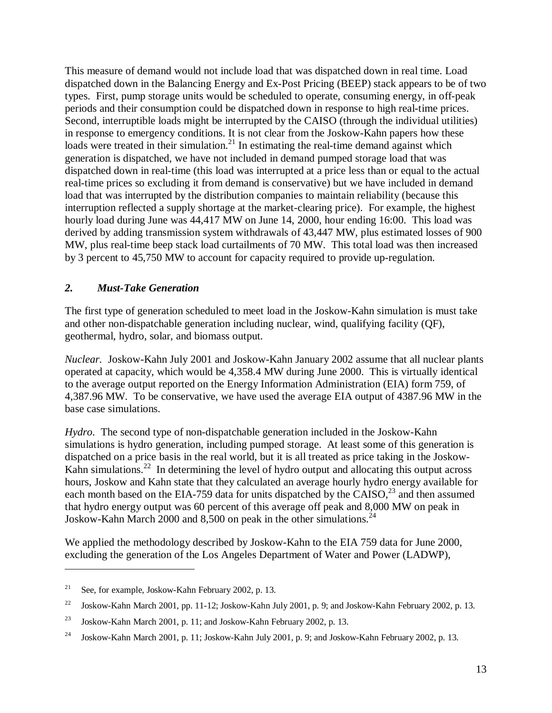This measure of demand would not include load that was dispatched down in real time. Load dispatched down in the Balancing Energy and Ex-Post Pricing (BEEP) stack appears to be of two types. First, pump storage units would be scheduled to operate, consuming energy, in off-peak periods and their consumption could be dispatched down in response to high real-time prices. Second, interruptible loads might be interrupted by the CAISO (through the individual utilities) in response to emergency conditions. It is not clear from the Joskow-Kahn papers how these loads were treated in their simulation.<sup>21</sup> In estimating the real-time demand against which generation is dispatched, we have not included in demand pumped storage load that was dispatched down in real-time (this load was interrupted at a price less than or equal to the actual real-time prices so excluding it from demand is conservative) but we have included in demand load that was interrupted by the distribution companies to maintain reliability (because this interruption reflected a supply shortage at the market-clearing price). For example, the highest hourly load during June was 44,417 MW on June 14, 2000, hour ending 16:00. This load was derived by adding transmission system withdrawals of 43,447 MW, plus estimated losses of 900 MW, plus real-time beep stack load curtailments of 70 MW. This total load was then increased by 3 percent to 45,750 MW to account for capacity required to provide up-regulation.

### *2. Must-Take Generation*

The first type of generation scheduled to meet load in the Joskow-Kahn simulation is must take and other non-dispatchable generation including nuclear, wind, qualifying facility (QF), geothermal, hydro, solar, and biomass output.

*Nuclear.* Joskow-Kahn July 2001 and Joskow-Kahn January 2002 assume that all nuclear plants operated at capacity, which would be 4,358.4 MW during June 2000. This is virtually identical to the average output reported on the Energy Information Administration (EIA) form 759, of 4,387.96 MW. To be conservative, we have used the average EIA output of 4387.96 MW in the base case simulations.

*Hydro*. The second type of non-dispatchable generation included in the Joskow-Kahn simulations is hydro generation, including pumped storage. At least some of this generation is dispatched on a price basis in the real world, but it is all treated as price taking in the Joskow-Kahn simulations.<sup>22</sup> In determining the level of hydro output and allocating this output across hours, Joskow and Kahn state that they calculated an average hourly hydro energy available for each month based on the EIA-759 data for units dispatched by the  $C AISO<sub>1</sub><sup>23</sup>$  and then assumed that hydro energy output was 60 percent of this average off peak and 8,000 MW on peak in Joskow-Kahn March 2000 and 8,500 on peak in the other simulations.<sup>24</sup>

We applied the methodology described by Joskow-Kahn to the EIA 759 data for June 2000, excluding the generation of the Los Angeles Department of Water and Power (LADWP),

<sup>&</sup>lt;sup>21</sup> See, for example, Joskow-Kahn February 2002, p. 13.

<sup>&</sup>lt;sup>22</sup> Joskow-Kahn March 2001, pp. 11-12; Joskow-Kahn July 2001, p. 9; and Joskow-Kahn February 2002, p. 13.

<sup>23</sup> Joskow-Kahn March 2001, p. 11; and Joskow-Kahn February 2002, p. 13.

<sup>24</sup> Joskow-Kahn March 2001, p. 11; Joskow-Kahn July 2001, p. 9; and Joskow-Kahn February 2002, p. 13.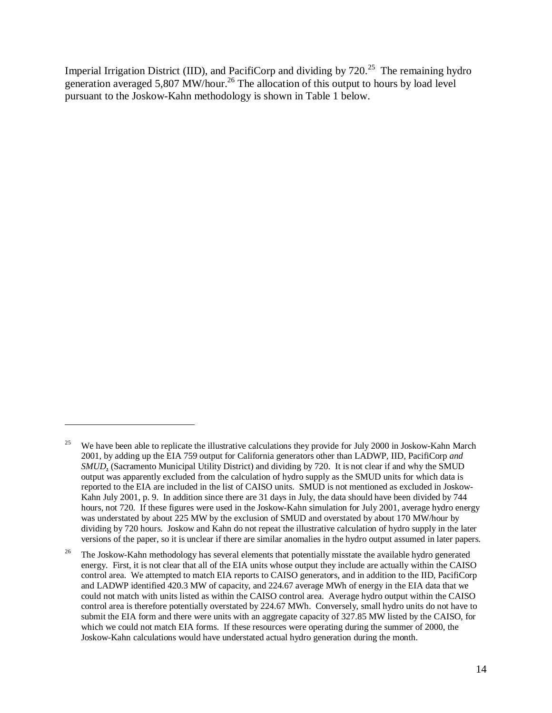Imperial Irrigation District (IID), and PacifiCorp and dividing by 720.<sup>25</sup> The remaining hydro generation averaged 5,807 MW/hour.<sup>26</sup> The allocation of this output to hours by load level pursuant to the Joskow-Kahn methodology is shown in Table 1 below.

<sup>&</sup>lt;sup>25</sup> We have been able to replicate the illustrative calculations they provide for July 2000 in Joskow-Kahn March 2001, by adding up the EIA 759 output for California generators other than LADWP, IID, PacifiCorp *and SMUD*, (Sacramento Municipal Utility District) and dividing by 720. It is not clear if and why the SMUD output was apparently excluded from the calculation of hydro supply as the SMUD units for which data is reported to the EIA are included in the list of CAISO units. SMUD is not mentioned as excluded in Joskow-Kahn July 2001, p. 9. In addition since there are 31 days in July, the data should have been divided by 744 hours, not 720. If these figures were used in the Joskow-Kahn simulation for July 2001, average hydro energy was understated by about 225 MW by the exclusion of SMUD and overstated by about 170 MW/hour by dividing by 720 hours. Joskow and Kahn do not repeat the illustrative calculation of hydro supply in the later versions of the paper, so it is unclear if there are similar anomalies in the hydro output assumed in later papers.

<sup>&</sup>lt;sup>26</sup> The Joskow-Kahn methodology has several elements that potentially misstate the available hydro generated energy. First, it is not clear that all of the EIA units whose output they include are actually within the CAISO control area. We attempted to match EIA reports to CAISO generators, and in addition to the IID, PacifiCorp and LADWP identified 420.3 MW of capacity, and 224.67 average MWh of energy in the EIA data that we could not match with units listed as within the CAISO control area. Average hydro output within the CAISO control area is therefore potentially overstated by 224.67 MWh. Conversely, small hydro units do not have to submit the EIA form and there were units with an aggregate capacity of 327.85 MW listed by the CAISO, for which we could not match EIA forms. If these resources were operating during the summer of 2000, the Joskow-Kahn calculations would have understated actual hydro generation during the month.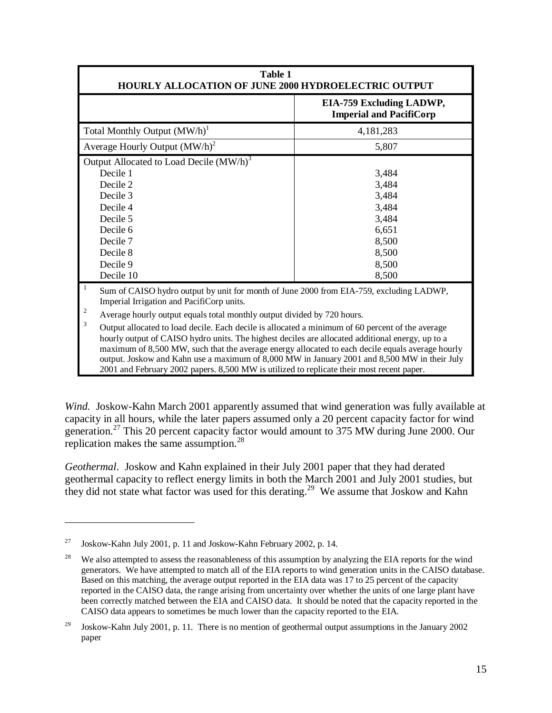| <b>Table 1</b><br><b>HOURLY ALLOCATION OF JUNE 2000 HYDROELECTRIC OUTPUT</b>                                                                                                                                                                                                                                                                                                                                                                                                                                                                                                                                                                                                                                                            |                                                                                        |
|-----------------------------------------------------------------------------------------------------------------------------------------------------------------------------------------------------------------------------------------------------------------------------------------------------------------------------------------------------------------------------------------------------------------------------------------------------------------------------------------------------------------------------------------------------------------------------------------------------------------------------------------------------------------------------------------------------------------------------------------|----------------------------------------------------------------------------------------|
|                                                                                                                                                                                                                                                                                                                                                                                                                                                                                                                                                                                                                                                                                                                                         | EIA-759 Excluding LADWP,<br><b>Imperial and PacifiCorp</b>                             |
| Total Monthly Output $(MW/h)^1$                                                                                                                                                                                                                                                                                                                                                                                                                                                                                                                                                                                                                                                                                                         | 4,181,283                                                                              |
| Average Hourly Output $(MW/h)^2$                                                                                                                                                                                                                                                                                                                                                                                                                                                                                                                                                                                                                                                                                                        | 5,807                                                                                  |
| Output Allocated to Load Decile $(MW/h)^3$<br>Decile 1<br>Decile 2<br>Decile 3<br>Decile 4<br>Decile 5<br>Decile 6<br>Decile 7<br>Decile 8<br>Decile 9<br>Decile 10                                                                                                                                                                                                                                                                                                                                                                                                                                                                                                                                                                     | 3,484<br>3,484<br>3,484<br>3,484<br>3,484<br>6,651<br>8,500<br>8,500<br>8,500<br>8,500 |
| 1<br>Sum of CAISO hydro output by unit for month of June 2000 from EIA-759, excluding LADWP,<br>Imperial Irrigation and PacifiCorp units.<br>2<br>Average hourly output equals total monthly output divided by 720 hours.<br>3<br>Output allocated to load decile. Each decile is allocated a minimum of 60 percent of the average<br>hourly output of CAISO hydro units. The highest deciles are allocated additional energy, up to a<br>maximum of 8,500 MW, such that the average energy allocated to each decile equals average hourly<br>output. Joskow and Kahn use a maximum of 8,000 MW in January 2001 and 8,500 MW in their July<br>2001 and February 2002 papers. 8,500 MW is utilized to replicate their most recent paper. |                                                                                        |

*Wind.* Joskow-Kahn March 2001 apparently assumed that wind generation was fully available at capacity in all hours, while the later papers assumed only a 20 percent capacity factor for wind generation.27 This 20 percent capacity factor would amount to 375 MW during June 2000. Our replication makes the same assumption.<sup>28</sup>

*Geothermal*. Joskow and Kahn explained in their July 2001 paper that they had derated geothermal capacity to reflect energy limits in both the March 2001 and July 2001 studies, but they did not state what factor was used for this derating.29 We assume that Joskow and Kahn

<sup>&</sup>lt;sup>27</sup> Joskow-Kahn July 2001, p. 11 and Joskow-Kahn February 2002, p. 14.

<sup>&</sup>lt;sup>28</sup> We also attempted to assess the reasonableness of this assumption by analyzing the EIA reports for the wind generators. We have attempted to match all of the EIA reports to wind generation units in the CAISO database. Based on this matching, the average output reported in the EIA data was 17 to 25 percent of the capacity reported in the CAISO data, the range arising from uncertainty over whether the units of one large plant have been correctly matched between the EIA and CAISO data. It should be noted that the capacity reported in the CAISO data appears to sometimes be much lower than the capacity reported to the EIA.

<sup>&</sup>lt;sup>29</sup> Joskow-Kahn July 2001, p. 11. There is no mention of geothermal output assumptions in the January 2002 paper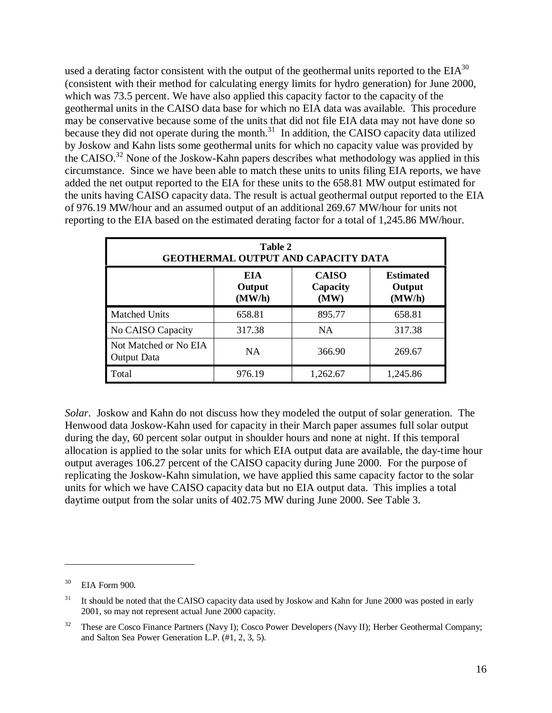used a derating factor consistent with the output of the geothermal units reported to the  $EIA^{30}$ (consistent with their method for calculating energy limits for hydro generation) for June 2000, which was 73.5 percent. We have also applied this capacity factor to the capacity of the geothermal units in the CAISO data base for which no EIA data was available. This procedure may be conservative because some of the units that did not file EIA data may not have done so because they did not operate during the month.<sup>31</sup> In addition, the CAISO capacity data utilized by Joskow and Kahn lists some geothermal units for which no capacity value was provided by the CAISO.32 None of the Joskow-Kahn papers describes what methodology was applied in this circumstance. Since we have been able to match these units to units filing EIA reports, we have added the net output reported to the EIA for these units to the 658.81 MW output estimated for the units having CAISO capacity data. The result is actual geothermal output reported to the EIA of 976.19 MW/hour and an assumed output of an additional 269.67 MW/hour for units not reporting to the EIA based on the estimated derating factor for a total of 1,245.86 MW/hour.

|                                      | Table 2                        | <b>GEOTHERMAL OUTPUT AND CAPACITY DATA</b> |                                      |
|--------------------------------------|--------------------------------|--------------------------------------------|--------------------------------------|
|                                      | <b>EIA</b><br>Output<br>(MW/h) | <b>CAISO</b><br>Capacity<br>(MW)           | <b>Estimated</b><br>Output<br>(MW/h) |
| <b>Matched Units</b>                 | 658.81                         | 895.77                                     | 658.81                               |
| No CAISO Capacity                    | 317.38                         | <b>NA</b>                                  | 317.38                               |
| Not Matched or No EIA<br>Output Data | <b>NA</b>                      | 366.90                                     | 269.67                               |
| Total                                | 976.19                         | 1,262.67                                   | 1,245.86                             |

*Solar*. Joskow and Kahn do not discuss how they modeled the output of solar generation. The Henwood data Joskow-Kahn used for capacity in their March paper assumes full solar output during the day, 60 percent solar output in shoulder hours and none at night. If this temporal allocation is applied to the solar units for which EIA output data are available, the day-time hour output averages 106.27 percent of the CAISO capacity during June 2000. For the purpose of replicating the Joskow-Kahn simulation, we have applied this same capacity factor to the solar units for which we have CAISO capacity data but no EIA output data. This implies a total daytime output from the solar units of 402.75 MW during June 2000. See Table 3.

EIA Form 900.

<sup>&</sup>lt;sup>31</sup> It should be noted that the CAISO capacity data used by Joskow and Kahn for June 2000 was posted in early 2001, so may not represent actual June 2000 capacity.

<sup>&</sup>lt;sup>32</sup> These are Cosco Finance Partners (Navy I); Cosco Power Developers (Navy II); Herber Geothermal Company; and Salton Sea Power Generation L.P. (#1, 2, 3, 5).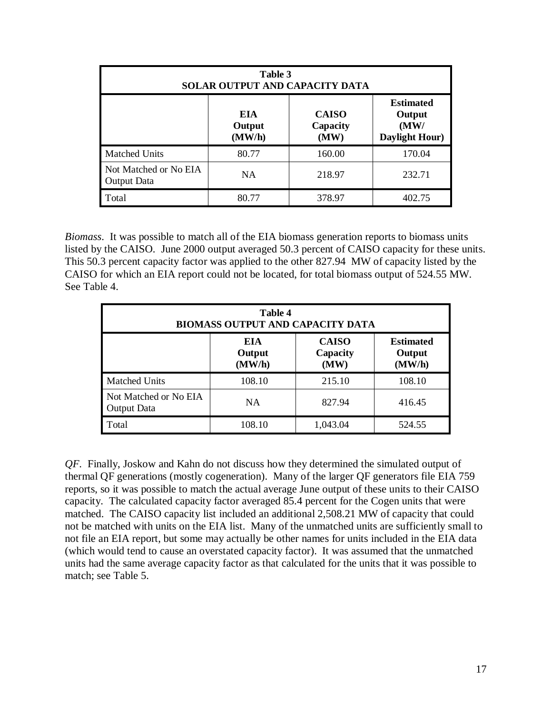|                                      | Table 3                        | SOLAR OUTPUT AND CAPACITY DATA   |                                                      |
|--------------------------------------|--------------------------------|----------------------------------|------------------------------------------------------|
|                                      | <b>EIA</b><br>Output<br>(MW/h) | <b>CAISO</b><br>Capacity<br>(MW) | <b>Estimated</b><br>Output<br>(MW)<br>Daylight Hour) |
| Matched Units                        | 80.77                          | 160.00                           | 170.04                                               |
| Not Matched or No EIA<br>Output Data | NA                             | 218.97                           | 232.71                                               |
| Total                                | 80.77                          | 378.97                           | 402.75                                               |

*Biomass*. It was possible to match all of the EIA biomass generation reports to biomass units listed by the CAISO. June 2000 output averaged 50.3 percent of CAISO capacity for these units. This 50.3 percent capacity factor was applied to the other 827.94 MW of capacity listed by the CAISO for which an EIA report could not be located, for total biomass output of 524.55 MW. See Table 4.

|                                      | <b>Table 4</b><br>BIOMASS OUTPUT AND CAPACITY DATA |                                  |                                      |
|--------------------------------------|----------------------------------------------------|----------------------------------|--------------------------------------|
|                                      | EIA.<br>Output<br>(MW/h)                           | <b>CAISO</b><br>Capacity<br>(MW) | <b>Estimated</b><br>Output<br>(MW/h) |
| <b>Matched Units</b>                 | 108.10                                             | 215.10                           | 108.10                               |
| Not Matched or No EIA<br>Output Data | <b>NA</b>                                          | 827.94                           | 416.45                               |
| Total                                | 108.10                                             | 1,043.04                         | 524.55                               |

*QF*. Finally, Joskow and Kahn do not discuss how they determined the simulated output of thermal QF generations (mostly cogeneration). Many of the larger QF generators file EIA 759 reports, so it was possible to match the actual average June output of these units to their CAISO capacity. The calculated capacity factor averaged 85.4 percent for the Cogen units that were matched. The CAISO capacity list included an additional 2,508.21 MW of capacity that could not be matched with units on the EIA list. Many of the unmatched units are sufficiently small to not file an EIA report, but some may actually be other names for units included in the EIA data (which would tend to cause an overstated capacity factor). It was assumed that the unmatched units had the same average capacity factor as that calculated for the units that it was possible to match; see Table 5.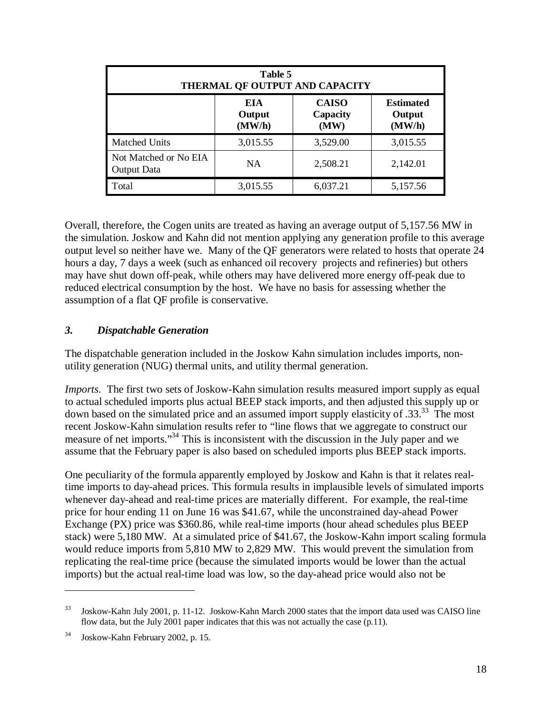|                                             | Table 5                 | THERMAL OF OUTPUT AND CAPACITY   |                                      |
|---------------------------------------------|-------------------------|----------------------------------|--------------------------------------|
|                                             | EIA<br>Output<br>(MW/h) | <b>CAISO</b><br>Capacity<br>(MW) | <b>Estimated</b><br>Output<br>(MW/h) |
| <b>Matched Units</b>                        | 3,015.55                | 3,529.00                         | 3,015.55                             |
| Not Matched or No EIA<br><b>Output Data</b> | NA                      | 2,508.21                         | 2,142.01                             |
| Total                                       | 3,015.55                | 6,037.21                         | 5,157.56                             |

Overall, therefore, the Cogen units are treated as having an average output of 5,157.56 MW in the simulation. Joskow and Kahn did not mention applying any generation profile to this average output level so neither have we. Many of the QF generators were related to hosts that operate 24 hours a day, 7 days a week (such as enhanced oil recovery projects and refineries) but others may have shut down off-peak, while others may have delivered more energy off-peak due to reduced electrical consumption by the host. We have no basis for assessing whether the assumption of a flat QF profile is conservative.

### *3. Dispatchable Generation*

The dispatchable generation included in the Joskow Kahn simulation includes imports, nonutility generation (NUG) thermal units, and utility thermal generation.

*Imports*. The first two sets of Joskow-Kahn simulation results measured import supply as equal to actual scheduled imports plus actual BEEP stack imports, and then adjusted this supply up or down based on the simulated price and an assumed import supply elasticity of .33.<sup>33</sup> The most recent Joskow-Kahn simulation results refer to "line flows that we aggregate to construct our measure of net imports."34 This is inconsistent with the discussion in the July paper and we assume that the February paper is also based on scheduled imports plus BEEP stack imports.

One peculiarity of the formula apparently employed by Joskow and Kahn is that it relates realtime imports to day-ahead prices. This formula results in implausible levels of simulated imports whenever day-ahead and real-time prices are materially different. For example, the real-time price for hour ending 11 on June 16 was \$41.67, while the unconstrained day-ahead Power Exchange (PX) price was \$360.86, while real-time imports (hour ahead schedules plus BEEP stack) were 5,180 MW. At a simulated price of \$41.67, the Joskow-Kahn import scaling formula would reduce imports from 5,810 MW to 2,829 MW. This would prevent the simulation from replicating the real-time price (because the simulated imports would be lower than the actual imports) but the actual real-time load was low, so the day-ahead price would also not be

<sup>33</sup> Joskow-Kahn July 2001, p. 11-12. Joskow-Kahn March 2000 states that the import data used was CAISO line flow data, but the July 2001 paper indicates that this was not actually the case (p.11).

<sup>34</sup> Joskow-Kahn February 2002, p. 15.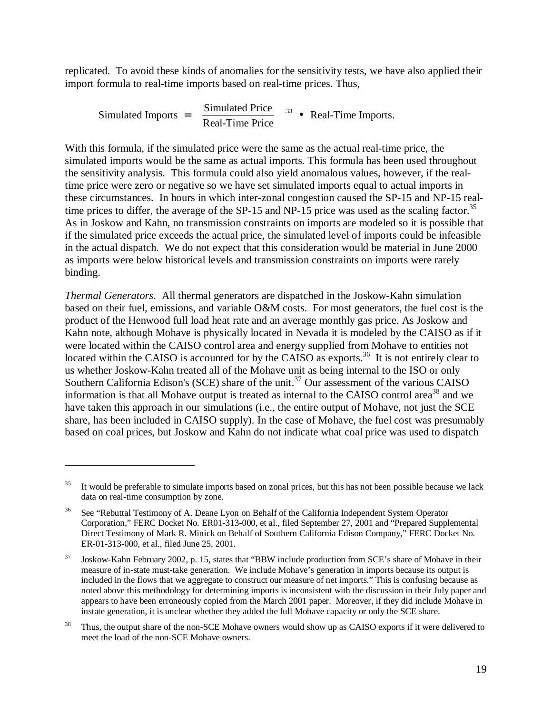replicated. To avoid these kinds of anomalies for the sensitivity tests, we have also applied their import formula to real-time imports based on real-time prices. Thus,

Simulated Imports = 
$$
\left(\frac{\text{Simulated Price}}{\text{Real-Time Price}}\right)^{.33}
$$
 • Real-Time Imports.

With this formula, if the simulated price were the same as the actual real-time price, the simulated imports would be the same as actual imports. This formula has been used throughout the sensitivity analysis. This formula could also yield anomalous values, however, if the realtime price were zero or negative so we have set simulated imports equal to actual imports in these circumstances. In hours in which inter-zonal congestion caused the SP-15 and NP-15 realtime prices to differ, the average of the SP-15 and NP-15 price was used as the scaling factor.<sup>35</sup> As in Joskow and Kahn, no transmission constraints on imports are modeled so it is possible that if the simulated price exceeds the actual price, the simulated level of imports could be infeasible in the actual dispatch. We do not expect that this consideration would be material in June 2000 as imports were below historical levels and transmission constraints on imports were rarely binding.

*Thermal Generators*. All thermal generators are dispatched in the Joskow-Kahn simulation based on their fuel, emissions, and variable O&M costs. For most generators, the fuel cost is the product of the Henwood full load heat rate and an average monthly gas price. As Joskow and Kahn note, although Mohave is physically located in Nevada it is modeled by the CAISO as if it were located within the CAISO control area and energy supplied from Mohave to entities not located within the CAISO is accounted for by the CAISO as exports.<sup>36</sup> It is not entirely clear to us whether Joskow-Kahn treated all of the Mohave unit as being internal to the ISO or only Southern California Edison's (SCE) share of the unit.<sup>37</sup> Our assessment of the various CAISO information is that all Mohave output is treated as internal to the CAISO control area<sup>38</sup> and we have taken this approach in our simulations (i.e., the entire output of Mohave, not just the SCE share, has been included in CAISO supply). In the case of Mohave, the fuel cost was presumably based on coal prices, but Joskow and Kahn do not indicate what coal price was used to dispatch

It would be preferable to simulate imports based on zonal prices, but this has not been possible because we lack data on real-time consumption by zone.

<sup>&</sup>lt;sup>36</sup> See "Rebuttal Testimony of A. Deane Lyon on Behalf of the California Independent System Operator Corporation," FERC Docket No. ER01-313-000, et al., filed September 27, 2001 and "Prepared Supplemental Direct Testimony of Mark R. Minick on Behalf of Southern California Edison Company," FERC Docket No. ER-01-313-000, et al., filed June 25, 2001.

<sup>37</sup> Joskow-Kahn February 2002, p. 15, states that "BBW include production from SCE's share of Mohave in their measure of in-state must-take generation. We include Mohave's generation in imports because its output is included in the flows that we aggregate to construct our measure of net imports." This is confusing because as noted above this methodology for determining imports is inconsistent with the discussion in their July paper and appears to have been erroneously copied from the March 2001 paper. Moreover, if they did include Mohave in instate generation, it is unclear whether they added the full Mohave capacity or only the SCE share.

<sup>&</sup>lt;sup>38</sup> Thus, the output share of the non-SCE Mohave owners would show up as CAISO exports if it were delivered to meet the load of the non-SCE Mohave owners.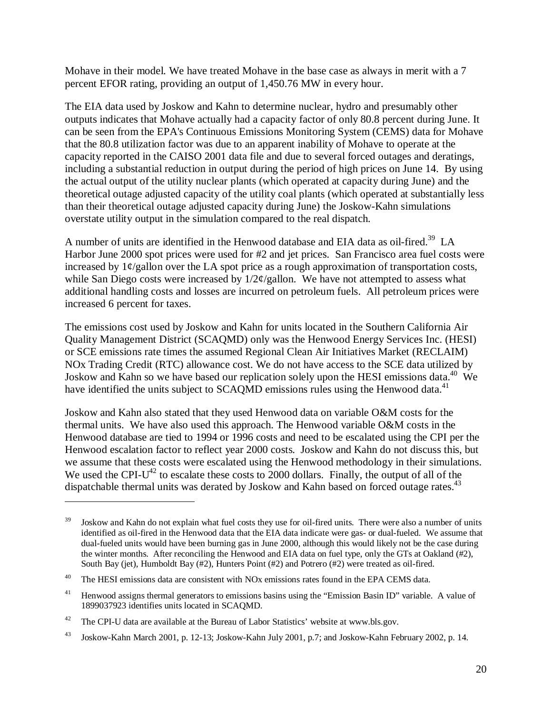Mohave in their model. We have treated Mohave in the base case as always in merit with a 7 percent EFOR rating, providing an output of 1,450.76 MW in every hour.

The EIA data used by Joskow and Kahn to determine nuclear, hydro and presumably other outputs indicates that Mohave actually had a capacity factor of only 80.8 percent during June. It can be seen from the EPA's Continuous Emissions Monitoring System (CEMS) data for Mohave that the 80.8 utilization factor was due to an apparent inability of Mohave to operate at the capacity reported in the CAISO 2001 data file and due to several forced outages and deratings, including a substantial reduction in output during the period of high prices on June 14. By using the actual output of the utility nuclear plants (which operated at capacity during June) and the theoretical outage adjusted capacity of the utility coal plants (which operated at substantially less than their theoretical outage adjusted capacity during June) the Joskow-Kahn simulations overstate utility output in the simulation compared to the real dispatch.

A number of units are identified in the Henwood database and EIA data as oil-fired.<sup>39</sup> LA Harbor June 2000 spot prices were used for #2 and jet prices. San Francisco area fuel costs were increased by  $1\frac{\varphi}{\text{g}}$ allon over the LA spot price as a rough approximation of transportation costs, while San Diego costs were increased by  $1/2\varphi$ /gallon. We have not attempted to assess what additional handling costs and losses are incurred on petroleum fuels. All petroleum prices were increased 6 percent for taxes.

The emissions cost used by Joskow and Kahn for units located in the Southern California Air Quality Management District (SCAQMD) only was the Henwood Energy Services Inc. (HESI) or SCE emissions rate times the assumed Regional Clean Air Initiatives Market (RECLAIM) NOx Trading Credit (RTC) allowance cost. We do not have access to the SCE data utilized by Joskow and Kahn so we have based our replication solely upon the HESI emissions data.<sup>40</sup> We have identified the units subject to SCAQMD emissions rules using the Henwood data.<sup>41</sup>

Joskow and Kahn also stated that they used Henwood data on variable O&M costs for the thermal units. We have also used this approach. The Henwood variable O&M costs in the Henwood database are tied to 1994 or 1996 costs and need to be escalated using the CPI per the Henwood escalation factor to reflect year 2000 costs. Joskow and Kahn do not discuss this, but we assume that these costs were escalated using the Henwood methodology in their simulations. We used the CPI- $U^{42}$  to escalate these costs to 2000 dollars. Finally, the output of all of the dispatchable thermal units was derated by Joskow and Kahn based on forced outage rates.<sup>43</sup>

<sup>&</sup>lt;sup>39</sup> Joskow and Kahn do not explain what fuel costs they use for oil-fired units. There were also a number of units identified as oil-fired in the Henwood data that the EIA data indicate were gas- or dual-fueled. We assume that dual-fueled units would have been burning gas in June 2000, although this would likely not be the case during the winter months. After reconciling the Henwood and EIA data on fuel type, only the GTs at Oakland (#2), South Bay (jet), Humboldt Bay (#2), Hunters Point (#2) and Potrero (#2) were treated as oil-fired.

<sup>&</sup>lt;sup>40</sup> The HESI emissions data are consistent with NOx emissions rates found in the EPA CEMS data.

<sup>&</sup>lt;sup>41</sup> Henwood assigns thermal generators to emissions basins using the "Emission Basin ID" variable. A value of 1899037923 identifies units located in SCAQMD.

<sup>&</sup>lt;sup>42</sup> The CPI-U data are available at the Bureau of Labor Statistics' website at www.bls.gov.

<sup>43</sup> Joskow-Kahn March 2001, p. 12-13; Joskow-Kahn July 2001, p.7; and Joskow-Kahn February 2002, p. 14.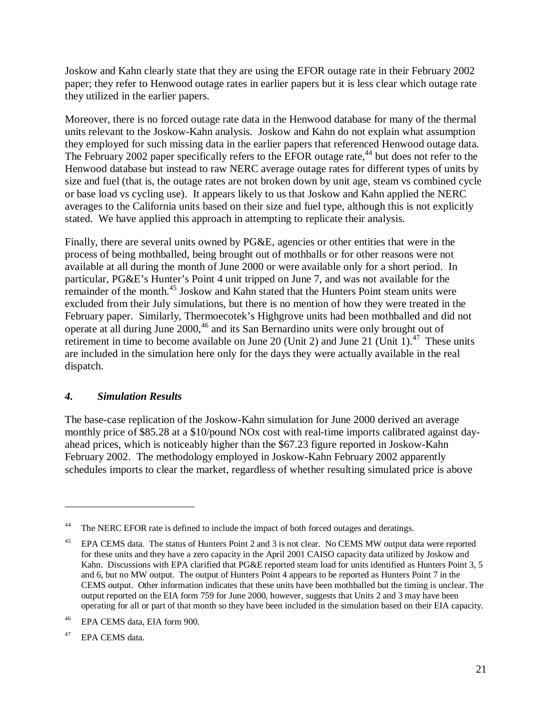Joskow and Kahn clearly state that they are using the EFOR outage rate in their February 2002 paper; they refer to Henwood outage rates in earlier papers but it is less clear which outage rate they utilized in the earlier papers.

Moreover, there is no forced outage rate data in the Henwood database for many of the thermal units relevant to the Joskow-Kahn analysis. Joskow and Kahn do not explain what assumption they employed for such missing data in the earlier papers that referenced Henwood outage data. The February 2002 paper specifically refers to the EFOR outage rate,<sup>44</sup> but does not refer to the Henwood database but instead to raw NERC average outage rates for different types of units by size and fuel (that is, the outage rates are not broken down by unit age, steam vs combined cycle or base load vs cycling use). It appears likely to us that Joskow and Kahn applied the NERC averages to the California units based on their size and fuel type, although this is not explicitly stated. We have applied this approach in attempting to replicate their analysis.

Finally, there are several units owned by PG&E, agencies or other entities that were in the process of being mothballed, being brought out of mothballs or for other reasons were not available at all during the month of June 2000 or were available only for a short period. In particular, PG&E's Hunter's Point 4 unit tripped on June 7, and was not available for the remainder of the month.<sup>45</sup> Joskow and Kahn stated that the Hunters Point steam units were excluded from their July simulations, but there is no mention of how they were treated in the February paper. Similarly, Thermoecotek's Highgrove units had been mothballed and did not operate at all during June 2000,46 and its San Bernardino units were only brought out of retirement in time to become available on June 20 (Unit 2) and June 21 (Unit 1).<sup>47</sup> These units are included in the simulation here only for the days they were actually available in the real dispatch.

### *4. Simulation Results*

The base-case replication of the Joskow-Kahn simulation for June 2000 derived an average monthly price of \$85.28 at a \$10/pound NOx cost with real-time imports calibrated against dayahead prices, which is noticeably higher than the \$67.23 figure reported in Joskow-Kahn February 2002. The methodology employed in Joskow-Kahn February 2002 apparently schedules imports to clear the market, regardless of whether resulting simulated price is above

The NERC EFOR rate is defined to include the impact of both forced outages and deratings.

<sup>&</sup>lt;sup>45</sup> EPA CEMS data. The status of Hunters Point 2 and 3 is not clear. No CEMS MW output data were reported for these units and they have a zero capacity in the April 2001 CAISO capacity data utilized by Joskow and Kahn. Discussions with EPA clarified that PG&E reported steam load for units identified as Hunters Point 3, 5 and 6, but no MW output. The output of Hunters Point 4 appears to be reported as Hunters Point 7 in the CEMS output. Other information indicates that these units have been mothballed but the timing is unclear. The output reported on the EIA form 759 for June 2000, however, suggests that Units 2 and 3 may have been operating for all or part of that month so they have been included in the simulation based on their EIA capacity.

<sup>46</sup> EPA CEMS data, EIA form 900.

<sup>&</sup>lt;sup>47</sup> EPA CEMS data.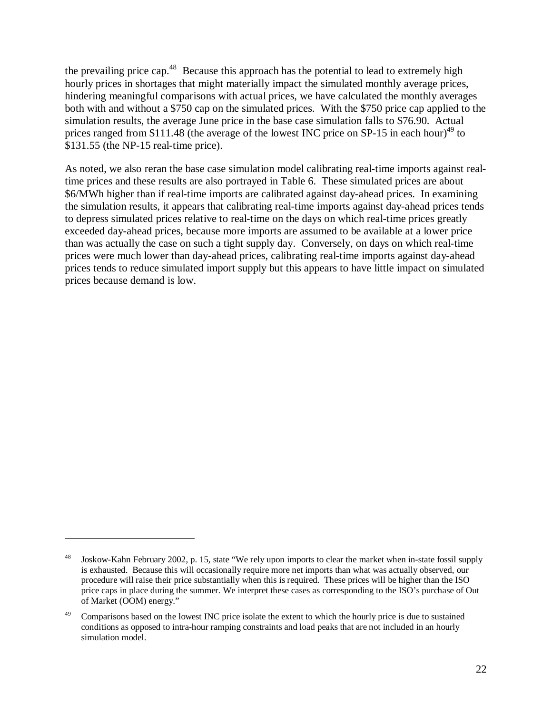the prevailing price cap.<sup>48</sup> Because this approach has the potential to lead to extremely high hourly prices in shortages that might materially impact the simulated monthly average prices, hindering meaningful comparisons with actual prices, we have calculated the monthly averages both with and without a \$750 cap on the simulated prices. With the \$750 price cap applied to the simulation results, the average June price in the base case simulation falls to \$76.90. Actual prices ranged from \$111.48 (the average of the lowest INC price on SP-15 in each hour)<sup>49</sup> to \$131.55 (the NP-15 real-time price).

As noted, we also reran the base case simulation model calibrating real-time imports against realtime prices and these results are also portrayed in Table 6. These simulated prices are about \$6/MWh higher than if real-time imports are calibrated against day-ahead prices. In examining the simulation results, it appears that calibrating real-time imports against day-ahead prices tends to depress simulated prices relative to real-time on the days on which real-time prices greatly exceeded day-ahead prices, because more imports are assumed to be available at a lower price than was actually the case on such a tight supply day. Conversely, on days on which real-time prices were much lower than day-ahead prices, calibrating real-time imports against day-ahead prices tends to reduce simulated import supply but this appears to have little impact on simulated prices because demand is low.

<sup>&</sup>lt;sup>48</sup> Joskow-Kahn February 2002, p. 15, state "We rely upon imports to clear the market when in-state fossil supply is exhausted. Because this will occasionally require more net imports than what was actually observed, our procedure will raise their price substantially when this is required. These prices will be higher than the ISO price caps in place during the summer. We interpret these cases as corresponding to the ISO's purchase of Out of Market (OOM) energy."

<sup>&</sup>lt;sup>49</sup> Comparisons based on the lowest INC price isolate the extent to which the hourly price is due to sustained conditions as opposed to intra-hour ramping constraints and load peaks that are not included in an hourly simulation model.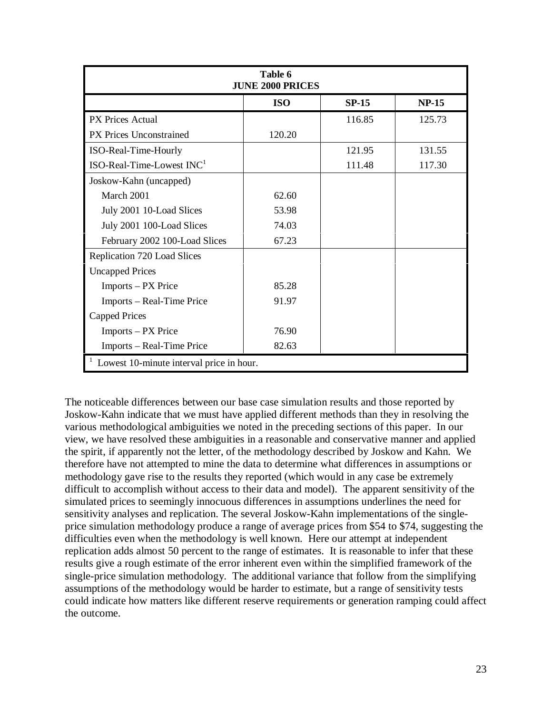| Table 6<br><b>JUNE 2000 PRICES</b>       |            |         |              |  |  |  |
|------------------------------------------|------------|---------|--------------|--|--|--|
|                                          | <b>ISO</b> | $SP-15$ | <b>NP-15</b> |  |  |  |
| PX Prices Actual                         |            | 116.85  | 125.73       |  |  |  |
| <b>PX Prices Unconstrained</b>           | 120.20     |         |              |  |  |  |
| ISO-Real-Time-Hourly                     |            | 121.95  | 131.55       |  |  |  |
| $ISO$ -Real-Time-Lowest $INC1$           |            | 111.48  | 117.30       |  |  |  |
| Joskow-Kahn (uncapped)                   |            |         |              |  |  |  |
| March 2001                               | 62.60      |         |              |  |  |  |
| July 2001 10-Load Slices                 | 53.98      |         |              |  |  |  |
| July 2001 100-Load Slices                | 74.03      |         |              |  |  |  |
| February 2002 100-Load Slices            | 67.23      |         |              |  |  |  |
| Replication 720 Load Slices              |            |         |              |  |  |  |
| <b>Uncapped Prices</b>                   |            |         |              |  |  |  |
| Imports – PX Price                       | 85.28      |         |              |  |  |  |
| Imports – Real-Time Price                | 91.97      |         |              |  |  |  |
| Capped Prices                            |            |         |              |  |  |  |
| Imports – PX Price                       | 76.90      |         |              |  |  |  |
| Imports – Real-Time Price                | 82.63      |         |              |  |  |  |
| Lowest 10-minute interval price in hour. |            |         |              |  |  |  |

The noticeable differences between our base case simulation results and those reported by Joskow-Kahn indicate that we must have applied different methods than they in resolving the various methodological ambiguities we noted in the preceding sections of this paper. In our view, we have resolved these ambiguities in a reasonable and conservative manner and applied the spirit, if apparently not the letter, of the methodology described by Joskow and Kahn. We therefore have not attempted to mine the data to determine what differences in assumptions or methodology gave rise to the results they reported (which would in any case be extremely difficult to accomplish without access to their data and model). The apparent sensitivity of the simulated prices to seemingly innocuous differences in assumptions underlines the need for sensitivity analyses and replication. The several Joskow-Kahn implementations of the singleprice simulation methodology produce a range of average prices from \$54 to \$74, suggesting the difficulties even when the methodology is well known. Here our attempt at independent replication adds almost 50 percent to the range of estimates. It is reasonable to infer that these results give a rough estimate of the error inherent even within the simplified framework of the single-price simulation methodology. The additional variance that follow from the simplifying assumptions of the methodology would be harder to estimate, but a range of sensitivity tests could indicate how matters like different reserve requirements or generation ramping could affect the outcome.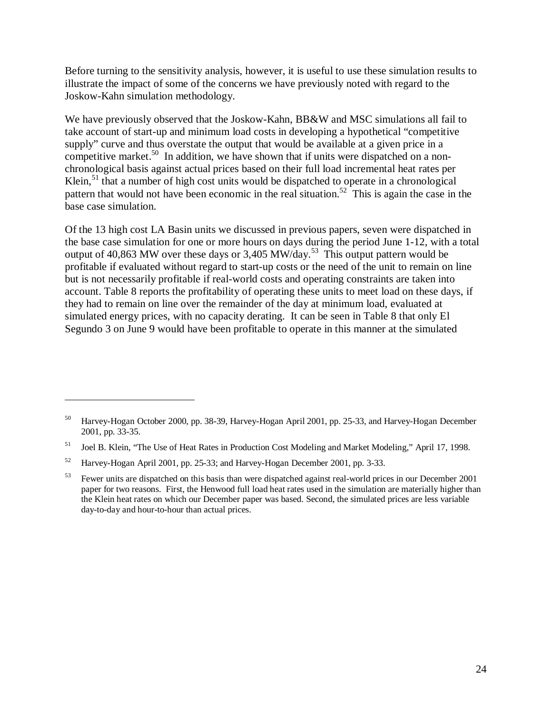Before turning to the sensitivity analysis, however, it is useful to use these simulation results to illustrate the impact of some of the concerns we have previously noted with regard to the Joskow-Kahn simulation methodology.

We have previously observed that the Joskow-Kahn, BB&W and MSC simulations all fail to take account of start-up and minimum load costs in developing a hypothetical "competitive supply" curve and thus overstate the output that would be available at a given price in a competitive market.<sup>50</sup> In addition, we have shown that if units were dispatched on a nonchronological basis against actual prices based on their full load incremental heat rates per Klein, $51$  that a number of high cost units would be dispatched to operate in a chronological pattern that would not have been economic in the real situation.<sup>52</sup> This is again the case in the base case simulation.

Of the 13 high cost LA Basin units we discussed in previous papers, seven were dispatched in the base case simulation for one or more hours on days during the period June 1-12, with a total output of 40,863 MW over these days or 3,405 MW/day.<sup>53</sup> This output pattern would be profitable if evaluated without regard to start-up costs or the need of the unit to remain on line but is not necessarily profitable if real-world costs and operating constraints are taken into account. Table 8 reports the profitability of operating these units to meet load on these days, if they had to remain on line over the remainder of the day at minimum load, evaluated at simulated energy prices, with no capacity derating. It can be seen in Table 8 that only El Segundo 3 on June 9 would have been profitable to operate in this manner at the simulated

<sup>50</sup> Harvey-Hogan October 2000, pp. 38-39, Harvey-Hogan April 2001, pp. 25-33, and Harvey-Hogan December 2001, pp. 33-35.

<sup>51</sup> Joel B. Klein, "The Use of Heat Rates in Production Cost Modeling and Market Modeling," April 17, 1998.

<sup>52</sup> Harvey-Hogan April 2001, pp. 25-33; and Harvey-Hogan December 2001, pp. 3-33.

<sup>&</sup>lt;sup>53</sup> Fewer units are dispatched on this basis than were dispatched against real-world prices in our December 2001 paper for two reasons. First, the Henwood full load heat rates used in the simulation are materially higher than the Klein heat rates on which our December paper was based. Second, the simulated prices are less variable day-to-day and hour-to-hour than actual prices.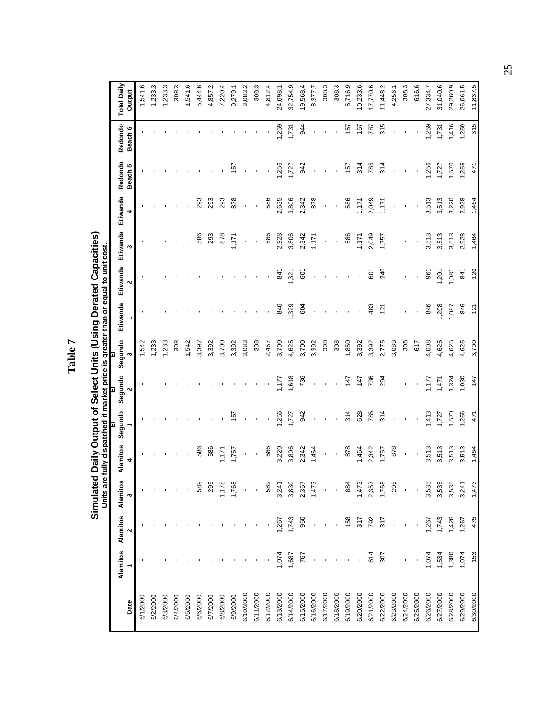**Simulated Daily Output of Select Units (Using Derated Capacities)**<br>Units are fully dispatched if market price is greater than or equal to unit cost. **Simulated Daily Output of Select Units (Using Derated Capacities) Units are fully dispatched if market price is greater than or equal to unit cost.**

|           |       |                                |                |               | p       | Þ            | P            |          |               |               |          |                    |                    |                    |
|-----------|-------|--------------------------------|----------------|---------------|---------|--------------|--------------|----------|---------------|---------------|----------|--------------------|--------------------|--------------------|
| Date      |       | Alamitos Alamitos Alamito<br>Ν | ā<br>S         | Alamitos<br>4 | Segundo | Segundo<br>2 | Segundo<br>S | Etiwanda | Etiwanda<br>2 | Etiwanda<br>S | Etiwanda | Redondo<br>Beach 5 | Redondo<br>Beach 6 | <b>Total Daily</b> |
|           |       |                                |                |               |         |              |              |          |               |               | 4        |                    |                    | Output             |
| 6/1/2000  |       |                                |                |               |         |              | 1,542        |          |               |               |          |                    |                    | 1,541.6            |
| 6/2/2000  |       |                                |                |               |         |              | <b>233</b>   |          |               |               |          |                    |                    | 1,233.3            |
| 6/3/2000  |       |                                |                |               |         |              | 1,233        |          |               |               |          |                    |                    | 1,233.3            |
| 6/4/2000  |       |                                |                |               |         |              | 308          |          |               |               |          |                    |                    | 308.3              |
| 6/5/2000  |       |                                |                |               |         |              | 1,542        |          |               |               |          |                    |                    | 1,541.6            |
| 6/6/2000  |       |                                | 58             | 586           |         |              | 3,392        |          |               | 586           | 293      |                    |                    | 5,444.6            |
| 6/7/2000  |       |                                | $\mathbf{S}$   | 586           |         |              | 3,392        |          |               | 293           | 293      |                    |                    | 4,857.2            |
| 6/8/2000  |       |                                | Ξ              | 171           |         |              | 3,700        |          |               | 878           | 293      |                    |                    | 7,220.4            |
| 6/9/2000  |       |                                | i'ie           | 1,757         | 157     |              | 3,392        |          |               | 1,171         | 878      | 157                |                    | 9,279.1            |
| 6/10/2000 |       |                                |                |               |         |              | 3,083        |          |               |               |          |                    |                    | 3,083.2            |
| 6/11/2000 |       |                                |                |               |         |              | 308          |          |               |               |          |                    |                    | 308.3              |
| 6/12/2000 |       |                                | 58             | 586           |         |              | 2,467        |          |               | 586           | 586      |                    |                    | 4,812.4            |
| 6/13/2000 | ,074  | .267                           | 3,24           | 3,220         | ,256    | ZZ.          | 3,700        | 846      | 841           | 2,928         | 2,635    | 1,256              | 1,259              | 24,698.1           |
| 6/14/2000 | 1,687 | 1,743                          | 3,83           | 3,806         | 1,727   | 1,618        | 4,625        | 1,329    | 1,321         | 3,806         | 3,806    | 1,727              | 1,731              | 32,754.9           |
| 6/15/2000 | 767   | 950                            | 2,35           | 2,342         | 942     | 736          | 3,700        | 604      | 601           | 2,342         | 2,342    | 942                | 944                | 19,568.4           |
| 6/16/2000 |       |                                | 1,47           | 1,464         |         |              | 3,392        |          |               | 1,171         | 878      |                    |                    | 8,377.7            |
| 6/17/2000 |       |                                |                |               |         |              | 308          |          |               |               |          |                    |                    | 308.3              |
| 6/18/2000 |       |                                |                |               |         |              | 308          |          |               |               |          |                    |                    | 308.3              |
| 6/19/2000 |       | 158                            | $\frac{8}{2}$  | 878           | 314     | 147          | 1,850        |          |               | 586           | 586      | 157                | 157                | 5,716.9            |
| 6/20/2000 |       | 317                            | 1,47           | 1,464         | 628     | 147          | 3,392        |          |               | 1,171         | 1,171    | 314                | 157                | 10,233.6           |
| 6/21/2000 | 614   | 792                            | 2,35           | 2,342         | 785     | 736          | 3,392        | 483      | 601           | 2,049         | 2,049    | 785                | 787                | 17,770.6           |
| 6/22/2000 | 307   | 317                            | 1,76           | 1,757         | 314     | 294          | 2,775        | 121      | 240           | 1,757         | 1,171    | 314                | 315                | 11,448.2           |
| 6/23/2000 |       |                                | $\mathbb{S}^2$ | 878           |         |              | 3,083        |          |               |               |          |                    |                    | 4,256.1            |
| 6/24/2000 |       |                                |                |               |         |              | 308          |          |               |               |          |                    |                    | 308.3              |
| 6/25/2000 |       |                                |                |               |         |              | 617          |          |               |               |          |                    |                    | 616.6              |
| 6/26/2000 | 1,074 | 1,267                          | 3,53           | 3,513         | 1,413   | 1,177        | 4,008        | 846      | 961           | 3,513         | 3,513    | 1,256              | 1,259              | 27,334.7           |
| 6/27/2000 | 1,534 | 1,743                          | 3,53           | 3,513         | 1,727   | 1,471        | 4,625        | 208      | 1,201         | 3,513         | 3,513    | 1,727              | 1,731              | 31,040.6           |
| 6/28/2000 | 1,380 | 1,426                          | 3,53           | 3,513         | 570     | 1,324        | 4,625        | 1,087    | 1,081         | 3,513         | 3,220    | 1,570              | 1,416              | 29,260.9           |
| 6/29/2000 | 1,074 | 1,267                          | 3,24           | 3,513         | 1,256   | 1,030        | 4,625        | 846      | 841           | 2,928         | 2,928    | 1,256              | 1,259              | 26,061.5           |
| 6/30/2000 | 153   | 475                            | 1,47           | 1,464         | 471     | 147          | 3,700        | 121      | 120           | 1,464         | 1,464    | 471                | 315                | 11,837.5           |

**Table 7**

25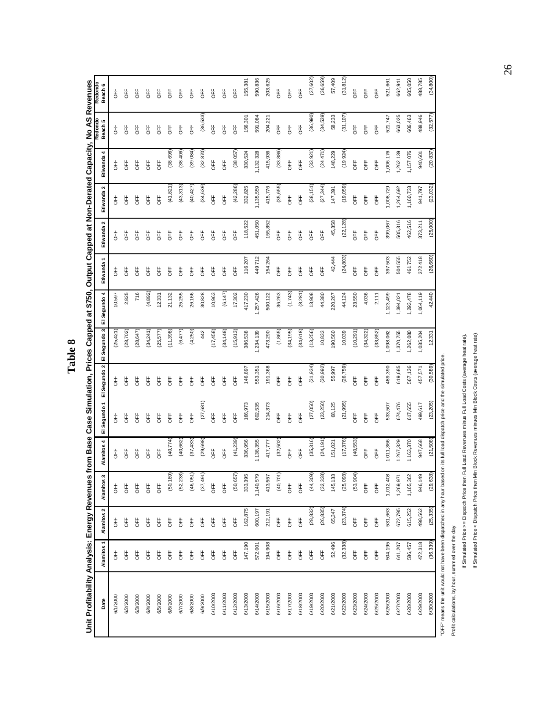| ∞       |
|---------|
| ◡       |
| r<br>C. |
| ь<br>۰  |

Unit Profitability Analysis: Energy Revenues from Base Case Simulation, Prices Capped at \$750, Output Capped at Non-Derated Capacity, No AS Revenues **Unit Profitability Analysis: Energy Revenues from Base Case Simulation, Prices Capped at \$750, Output Capped at Non-Derated Capacity, No AS Revenues**

| Date                                                                                                                          | Alamitos <sub>1</sub> | Alamitos <sub>2</sub> | s<br>Alamitos   | 4<br>Alamitos  | El Segundo 1 | El Segundo 2 | El Segundo 3 | 4<br>El Segundo | Etiwanda   | 2<br>Etiwanda | n<br>Etiwanda | 4<br>Etiwanda | Redondo<br>Beach 5 | Redondo<br>Beach 6 |
|-------------------------------------------------------------------------------------------------------------------------------|-----------------------|-----------------------|-----------------|----------------|--------------|--------------|--------------|-----------------|------------|---------------|---------------|---------------|--------------------|--------------------|
| 6/1/2000                                                                                                                      | <b>SFF</b>            | <b>SFF</b>            | bH<br>O         | bt<br>5        | b<br>5       | b<br>5       | (25, 421)    | 10,597          | 齿          | 농             | <b>FF</b>     | <b>SFF</b>    | bt<br>0            | b<br>5             |
| 6/2/2000                                                                                                                      | ΟFF                   | ΟFF                   | <b>UFF</b>      | <b>UFF</b>     | <b>UFF</b>   | <b>UFF</b>   | (28, 702)    | 2,825           | 齿          | <b>UFF</b>    | <b>UFF</b>    | <b>UFF</b>    | <b>UFF</b>         | 出<br>0             |
| 6/3/2000                                                                                                                      | ΟFF                   | ΟFF                   | ÖFF             | <b>UFF</b>     | <b>UFF</b>   | 齿            | (28, 647)    | 716             | 齿          | bH            | <b>UFF</b>    | ÖFF           | <b>UFF</b>         | 出<br>0             |
| 6/4/2000                                                                                                                      | <b>UFF</b>            | <b>UFF</b>            | <b>UFF</b>      | <b>UF</b>      | <b>UFF</b>   | <b>UF</b>    | (34,241)     | (4,892)         | to         | <b>UFF</b>    | <b>UFF</b>    | <b>UFF</b>    | <b>UFF</b>         | <b>UF</b>          |
| 6/5/2000                                                                                                                      | <b>OFF</b>            | ΟFF                   | <b>UFF</b>      | <b>UFF</b>     | <b>FF</b>    | <b>UF</b>    | (25, 577)    | 12,331          | to         | 齿             | <b>UFF</b>    | <b>UFF</b>    | <b>UFF</b>         | they               |
| 6/6/2000                                                                                                                      | <b>UFF</b>            | <b>UFF</b>            | ତ୍ର<br>(50, 18) | (40, 774)      | <b>DFF</b>   | 齿<br>0       | (11,398)     | 21,132          | 占          | 齿             | (41, 821)     | (38, 696)     | <b>UFF</b>         | <b>UFF</b>         |
| 6/7/2000                                                                                                                      | <b>UFF</b>            | <b>UFF</b>            | (52, 238)       | (40, 662)      | <b>UFF</b>   | 片<br>0       | (6,477)      | 25,255          | 占          | bH            | (43, 313)     | (38, 406)     | <b>UFF</b>         | <b>UF</b>          |
| 6/8/2000                                                                                                                      | <b>DEF</b>            | b                     | (46,051)        | (37, 433)      | <b>UFF</b>   | 片<br>05      | (4,250)      | 26,166          | 齿          | <b>SEP</b>    | (40, 427)     | (39, 084)     | <b>UFF</b>         | FF<br>5            |
| 6/9/2000                                                                                                                      | OFF                   | <b>DEF</b>            | (37, 491)       | (29, 698)      | (27, 681)    | 片<br>0       | 442          | 30,828          | 片<br>0     | <b>SEP</b>    | (34, 639)     | (32, 870)     | (36, 533)          | t<br>5             |
| 6/10/2000                                                                                                                     | <b>DEF</b>            | <b>DEF</b>            | <b>UFF</b>      | <b>UFF</b>     | <b>OFF</b>   | <b>UFF</b>   | (17, 458)    | 10,963          | UH         | <b>DEF</b>    | <b>OFF</b>    | <b>UFF</b>    | OFF                | <b>UFF</b>         |
| 6/11/2000                                                                                                                     | ÖFF                   | <b>UFF</b>            | <b>UFF</b>      | <b>UFF</b>     | <b>UFF</b>   | <b>UFF</b>   | (34, 148)    | (6, 147)        | UH         | ÖFF           | <b>UFF</b>    | <b>UFF</b>    | ÖFF                | <b>UFF</b>         |
| 6/12/2000                                                                                                                     | ÖFF                   | ÖFF                   | (50, 657)       | (41, 239)      | OFF          | bH<br>5      | (15, 913)    | 17,302          | 片<br>0     | <b>UFF</b>    | (42, 286)     | (38, 057)     | <b>UFF</b>         | UFF                |
| 6/13/2000                                                                                                                     | 147,190               | 162,875               | 333,395         | 336,956        | 166,973      | 146,897      | 386,538      | 417,230         | 116,207    | 118,522       | 332,825       | 330,524       | 156,301            | 155,381            |
| 6/14/2000                                                                                                                     | 572,001               | 600,197               | Ŏ,<br>1,140,57  | 1,138,355      | 602,535      | 553,351      | ,234,139     | ,257,426        | 449,712    | 451,050       | 1,135,559     | 1,132,328     | 591,084            | 590,836            |
| 6/15/2000                                                                                                                     | 194,908               | 212,191               | 413,557         | 417,777        | 214,373      | 191,368      | 473,290      | 500,122         | 154,264    | 155,852       | 415,776       | 415,936       | 204,221            | 203,625            |
| 6/16/2000                                                                                                                     | <b>UFF</b>            | <b>UFF</b>            | (40, 701)       | (32, 502)      | <b>UFF</b>   | FF           | (1,865)      | 36,263          | the        | <b>UFF</b>    | (35, 655)     | (33, 886)     | <b>UFF</b>         | 片<br>0             |
| 6/17/2000                                                                                                                     | <b>UFF</b>            | OFF                   | <b>UFF</b>      | <b>UFF</b>     | <b>UFF</b>   | 齿<br>0       | (34, 195)    | (1,743)         | <b>UF</b>  | <b>FF</b>     | <b>UFF</b>    | <b>UFF</b>    | <b>UFF</b>         | 片<br>0             |
| 6/18/2000                                                                                                                     | OFF                   | OFF                   | <b>UFF</b>      | ΟFF            | OFF          | <b>UFF</b>   | (34, 618)    | (8,281)         | UH         | OFF           | <b>OFF</b>    | OFF           | OFF                | <b>UFF</b>         |
| 6/19/2000                                                                                                                     | <b>UFF</b>            | (28, 832)             | (ec<br>(44, 30) | (35, 316)      | (27,050)     | (31, 934)    | (13, 256)    | 13,908          | 片<br>0     | <b>FF</b>     | (38, 151)     | (33, 921)     | (36, 990)          | (37, 602)          |
| 6/20/2000                                                                                                                     | ÖFF                   | (26, 835)             | (32, 338)       | (24, 191)      | (23, 250)    | (30, 992)    | 10,833       | 44,380          | 齿          | <b>UFF</b>    | (27, 344)     | (24, 471)     | (34, 539)          | (36, 659)          |
| 6/21/2000                                                                                                                     | 52,496                | 65,347                | 145,133         | 151,021        | 68,125       | 55,997       | 190,560      | 220,267         | 42,444     | 45,358        | 147,391       | 148,229       | 58,233             | 57,409             |
| 6/22/2000                                                                                                                     | (32, 338)             | (23, 374)             | ନ୍ତ<br>(25,09)  | (17, 376)      | (21, 995)    | (26, 759)    | 10,039       | 44,124          | (24, 803)  | (22, 128)     | (19,059)      | (19, 924)     | (31, 107)          | (31, 812)          |
| 6/23/2000                                                                                                                     | <b>UFF</b>            | <b>UFF</b>            | (53,904)        | (40, 553)      | <b>UFF</b>   | <b>UFF</b>   | (10, 291)    | 23,550          | <b>UFF</b> | <b>UFF</b>    | <b>UFF</b>    | <b>UFF</b>    | <b>UFF</b>         | <b>UFF</b>         |
| 6/24/2000                                                                                                                     | <b>UFF</b>            | <b>UFF</b>            | <b>UFF</b>      | 5 <sup>2</sup> | <b>UFF</b>   | 片<br>05      | (34, 322)    | 4,036           | <b>UF</b>  | <b>UFF</b>    | <b>UFF</b>    | <b>UFF</b>    | <b>UFF</b>         | <b>UF</b>          |
| 6/25/2000                                                                                                                     | <b>UFF</b>            | <b>UFF</b>            | <b>UFF</b>      | <b>UFF</b>     | <b>UFF</b>   | <b>UFF</b>   | (33, 852)    | 2,111           | <b>UFF</b> | <b>UFF</b>    | <b>OFF</b>    | <b>OFF</b>    | <b>OFF</b>         | <b>UFF</b>         |
| 6/26/2000                                                                                                                     | 504,195               | 531,663               | 1,012,408       | 1,011,366      | 533,507      | 489,390      | ,098,062     | 1,123,499       | 397,503    | 399,067       | 008,729       | 1,006,176     | 521,747            | 521,661            |
| 6/27/2000                                                                                                                     | 641,207               | 672,795               | 1,269,971       | ,267,329       | 674,476      | 619,685      | ,370,755     | ,394,021        | 504,555    | 505,316       | 264,692       | ,262,139      | 663,025            | 662,941            |
| 6/28/2000                                                                                                                     | 586,457               | 615,252               | 1,165,362       | 1,163,370      | 617,655      | 567,136      | 1,262,080    | 1,293,478       | 461,752    | 462,516       | 1,160,733     | 1,157,076     | 606,463            | 605,050            |
| 6/29/2000                                                                                                                     | 472,318               | 498,562               | 946,149         | 947,668        | 499,617      | 457,571      | 1,035,204    | 1,064,119       | 372,418    | 373,211       | 941,797       | 940,601       | 488,946            | 488,785            |
| 6/30/2000                                                                                                                     | (36, 339)             | (25, 335)             | (29, 638)       | (21,508)       | (23, 205)    | (30, 589)    | 12,331       | 42,440          | (26, 660)  | (25,000)      | (23, 032)     | (20, 837)     | (32, 577)          | (34, 800)          |
| "OFF" means the unit would not have been dispatched in any hour based on its full load dispatch price and the simulated price |                       |                       |                 |                |              |              |              |                 |            |               |               |               |                    |                    |

If Simulated Price < Dispatch Price then Min Block Revenues minues Min Block Costs (average heat rate). If Simulated Price >= Dispatch Price then Full Load Revenues minus Full Load Costs (average heat rate). If Simulated Price < Dispatch Price then Min Block Revenues minues Min Block Costs (average heat rate).If Simulated Price >= Dispatch Price then Full Load Revenues minus Full Load Costs (average heat rate).

Profit calculations, by hour, summed over the day:

Profit calculations, by hour, summed over the day: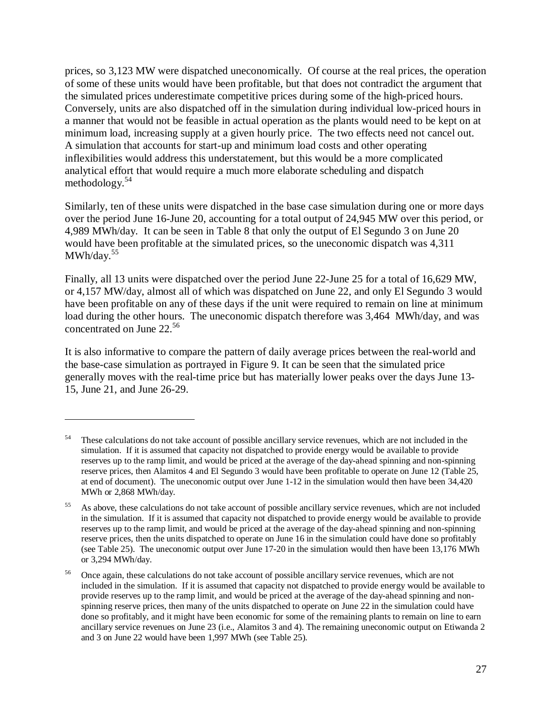prices, so 3,123 MW were dispatched uneconomically. Of course at the real prices, the operation of some of these units would have been profitable, but that does not contradict the argument that the simulated prices underestimate competitive prices during some of the high-priced hours. Conversely, units are also dispatched off in the simulation during individual low-priced hours in a manner that would not be feasible in actual operation as the plants would need to be kept on at minimum load, increasing supply at a given hourly price. The two effects need not cancel out. A simulation that accounts for start-up and minimum load costs and other operating inflexibilities would address this understatement, but this would be a more complicated analytical effort that would require a much more elaborate scheduling and dispatch methodology.<sup>54</sup>

Similarly, ten of these units were dispatched in the base case simulation during one or more days over the period June 16-June 20, accounting for a total output of 24,945 MW over this period, or 4,989 MWh/day. It can be seen in Table 8 that only the output of El Segundo 3 on June 20 would have been profitable at the simulated prices, so the uneconomic dispatch was 4,311  $MWh/day.<sup>55</sup>$ 

Finally, all 13 units were dispatched over the period June 22-June 25 for a total of 16,629 MW, or 4,157 MW/day, almost all of which was dispatched on June 22, and only El Segundo 3 would have been profitable on any of these days if the unit were required to remain on line at minimum load during the other hours. The uneconomic dispatch therefore was 3,464 MWh/day, and was concentrated on June 22.<sup>56</sup>

It is also informative to compare the pattern of daily average prices between the real-world and the base-case simulation as portrayed in Figure 9. It can be seen that the simulated price generally moves with the real-time price but has materially lower peaks over the days June 13- 15, June 21, and June 26-29.

<sup>&</sup>lt;sup>54</sup> These calculations do not take account of possible ancillary service revenues, which are not included in the simulation. If it is assumed that capacity not dispatched to provide energy would be available to provide reserves up to the ramp limit, and would be priced at the average of the day-ahead spinning and non-spinning reserve prices, then Alamitos 4 and El Segundo 3 would have been profitable to operate on June 12 (Table 25, at end of document). The uneconomic output over June 1-12 in the simulation would then have been 34,420 MWh or 2,868 MWh/day.

<sup>&</sup>lt;sup>55</sup> As above, these calculations do not take account of possible ancillary service revenues, which are not included in the simulation. If it is assumed that capacity not dispatched to provide energy would be available to provide reserves up to the ramp limit, and would be priced at the average of the day-ahead spinning and non-spinning reserve prices, then the units dispatched to operate on June 16 in the simulation could have done so profitably (see Table 25). The uneconomic output over June 17-20 in the simulation would then have been 13,176 MWh or 3,294 MWh/day.

<sup>56</sup> Once again, these calculations do not take account of possible ancillary service revenues, which are not included in the simulation. If it is assumed that capacity not dispatched to provide energy would be available to provide reserves up to the ramp limit, and would be priced at the average of the day-ahead spinning and nonspinning reserve prices, then many of the units dispatched to operate on June 22 in the simulation could have done so profitably, and it might have been economic for some of the remaining plants to remain on line to earn ancillary service revenues on June 23 (i.e., Alamitos 3 and 4). The remaining uneconomic output on Etiwanda 2 and 3 on June 22 would have been 1,997 MWh (see Table 25).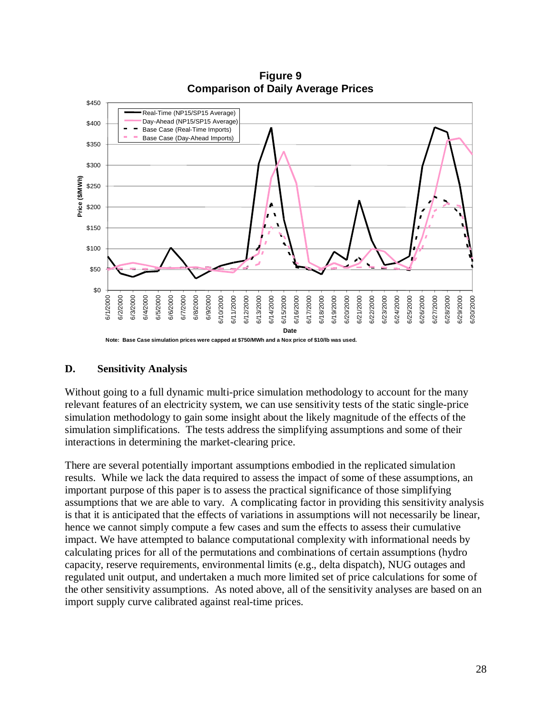

**Figure B-23 Figure 9 Comparison of Daily Average Prices Comparison of Daily Average Prices**

### **D. Sensitivity Analysis**

Without going to a full dynamic multi-price simulation methodology to account for the many relevant features of an electricity system, we can use sensitivity tests of the static single-price simulation methodology to gain some insight about the likely magnitude of the effects of the simulation simplifications. The tests address the simplifying assumptions and some of their interactions in determining the market-clearing price.

There are several potentially important assumptions embodied in the replicated simulation results. While we lack the data required to assess the impact of some of these assumptions, an important purpose of this paper is to assess the practical significance of those simplifying assumptions that we are able to vary. A complicating factor in providing this sensitivity analysis is that it is anticipated that the effects of variations in assumptions will not necessarily be linear, hence we cannot simply compute a few cases and sum the effects to assess their cumulative impact. We have attempted to balance computational complexity with informational needs by calculating prices for all of the permutations and combinations of certain assumptions (hydro capacity, reserve requirements, environmental limits (e.g., delta dispatch), NUG outages and regulated unit output, and undertaken a much more limited set of price calculations for some of the other sensitivity assumptions. As noted above, all of the sensitivity analyses are based on an import supply curve calibrated against real-time prices.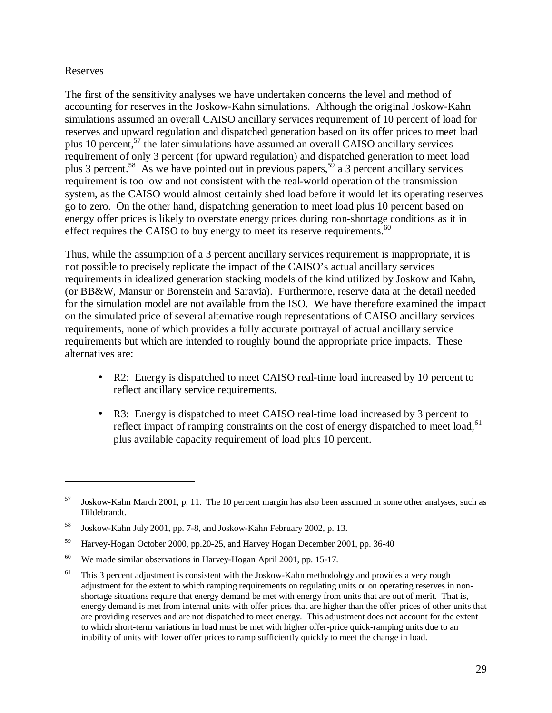#### Reserves

 $\overline{a}$ 

The first of the sensitivity analyses we have undertaken concerns the level and method of accounting for reserves in the Joskow-Kahn simulations. Although the original Joskow-Kahn simulations assumed an overall CAISO ancillary services requirement of 10 percent of load for reserves and upward regulation and dispatched generation based on its offer prices to meet load plus 10 percent, $57$  the later simulations have assumed an overall CAISO ancillary services requirement of only 3 percent (for upward regulation) and dispatched generation to meet load plus 3 percent.<sup>58</sup> As we have pointed out in previous papers,<sup>59</sup> a 3 percent ancillary services requirement is too low and not consistent with the real-world operation of the transmission system, as the CAISO would almost certainly shed load before it would let its operating reserves go to zero. On the other hand, dispatching generation to meet load plus 10 percent based on energy offer prices is likely to overstate energy prices during non-shortage conditions as it in effect requires the CAISO to buy energy to meet its reserve requirements.<sup>60</sup>

Thus, while the assumption of a 3 percent ancillary services requirement is inappropriate, it is not possible to precisely replicate the impact of the CAISO's actual ancillary services requirements in idealized generation stacking models of the kind utilized by Joskow and Kahn, (or BB&W, Mansur or Borenstein and Saravia). Furthermore, reserve data at the detail needed for the simulation model are not available from the ISO. We have therefore examined the impact on the simulated price of several alternative rough representations of CAISO ancillary services requirements, none of which provides a fully accurate portrayal of actual ancillary service requirements but which are intended to roughly bound the appropriate price impacts. These alternatives are:

- R2: Energy is dispatched to meet CAISO real-time load increased by 10 percent to reflect ancillary service requirements.
- R3: Energy is dispatched to meet CAISO real-time load increased by 3 percent to reflect impact of ramping constraints on the cost of energy dispatched to meet load,<sup>61</sup> plus available capacity requirement of load plus 10 percent.

<sup>57</sup> Joskow-Kahn March 2001, p. 11. The 10 percent margin has also been assumed in some other analyses, such as Hildebrandt.

<sup>58</sup> Joskow-Kahn July 2001, pp. 7-8, and Joskow-Kahn February 2002, p. 13.

<sup>59</sup> Harvey-Hogan October 2000, pp.20-25, and Harvey Hogan December 2001, pp. 36-40

<sup>&</sup>lt;sup>60</sup> We made similar observations in Harvey-Hogan April 2001, pp. 15-17.

 $61$  This 3 percent adjustment is consistent with the Joskow-Kahn methodology and provides a very rough adjustment for the extent to which ramping requirements on regulating units or on operating reserves in nonshortage situations require that energy demand be met with energy from units that are out of merit. That is, energy demand is met from internal units with offer prices that are higher than the offer prices of other units that are providing reserves and are not dispatched to meet energy. This adjustment does not account for the extent to which short-term variations in load must be met with higher offer-price quick-ramping units due to an inability of units with lower offer prices to ramp sufficiently quickly to meet the change in load.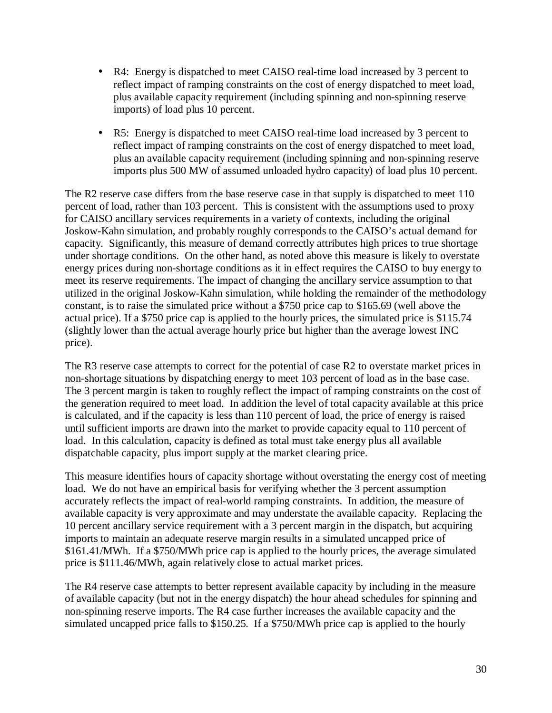- R4: Energy is dispatched to meet CAISO real-time load increased by 3 percent to reflect impact of ramping constraints on the cost of energy dispatched to meet load, plus available capacity requirement (including spinning and non-spinning reserve imports) of load plus 10 percent.
- R5: Energy is dispatched to meet CAISO real-time load increased by 3 percent to reflect impact of ramping constraints on the cost of energy dispatched to meet load, plus an available capacity requirement (including spinning and non-spinning reserve imports plus 500 MW of assumed unloaded hydro capacity) of load plus 10 percent.

The R2 reserve case differs from the base reserve case in that supply is dispatched to meet 110 percent of load, rather than 103 percent. This is consistent with the assumptions used to proxy for CAISO ancillary services requirements in a variety of contexts, including the original Joskow-Kahn simulation, and probably roughly corresponds to the CAISO's actual demand for capacity. Significantly, this measure of demand correctly attributes high prices to true shortage under shortage conditions. On the other hand, as noted above this measure is likely to overstate energy prices during non-shortage conditions as it in effect requires the CAISO to buy energy to meet its reserve requirements. The impact of changing the ancillary service assumption to that utilized in the original Joskow-Kahn simulation, while holding the remainder of the methodology constant, is to raise the simulated price without a \$750 price cap to \$165.69 (well above the actual price). If a \$750 price cap is applied to the hourly prices, the simulated price is \$115.74 (slightly lower than the actual average hourly price but higher than the average lowest INC price).

The R3 reserve case attempts to correct for the potential of case R2 to overstate market prices in non-shortage situations by dispatching energy to meet 103 percent of load as in the base case. The 3 percent margin is taken to roughly reflect the impact of ramping constraints on the cost of the generation required to meet load. In addition the level of total capacity available at this price is calculated, and if the capacity is less than 110 percent of load, the price of energy is raised until sufficient imports are drawn into the market to provide capacity equal to 110 percent of load. In this calculation, capacity is defined as total must take energy plus all available dispatchable capacity, plus import supply at the market clearing price.

This measure identifies hours of capacity shortage without overstating the energy cost of meeting load. We do not have an empirical basis for verifying whether the 3 percent assumption accurately reflects the impact of real-world ramping constraints. In addition, the measure of available capacity is very approximate and may understate the available capacity. Replacing the 10 percent ancillary service requirement with a 3 percent margin in the dispatch, but acquiring imports to maintain an adequate reserve margin results in a simulated uncapped price of \$161.41/MWh. If a \$750/MWh price cap is applied to the hourly prices, the average simulated price is \$111.46/MWh, again relatively close to actual market prices.

The R4 reserve case attempts to better represent available capacity by including in the measure of available capacity (but not in the energy dispatch) the hour ahead schedules for spinning and non-spinning reserve imports. The R4 case further increases the available capacity and the simulated uncapped price falls to \$150.25. If a \$750/MWh price cap is applied to the hourly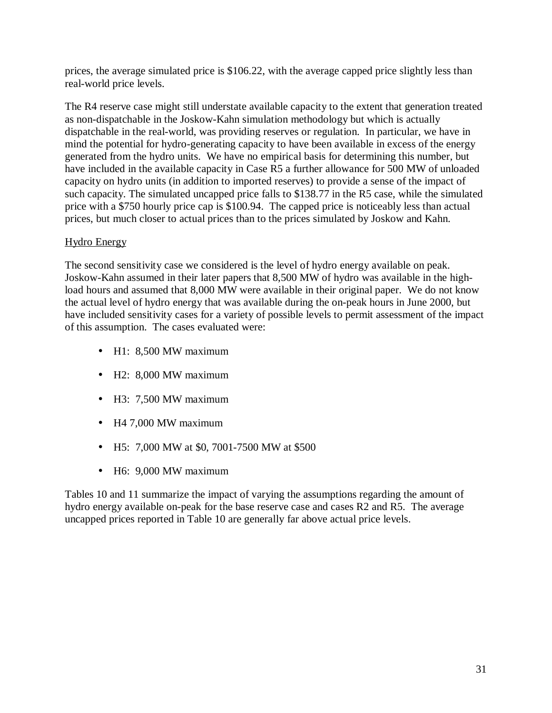prices, the average simulated price is \$106.22, with the average capped price slightly less than real-world price levels.

The R4 reserve case might still understate available capacity to the extent that generation treated as non-dispatchable in the Joskow-Kahn simulation methodology but which is actually dispatchable in the real-world, was providing reserves or regulation. In particular, we have in mind the potential for hydro-generating capacity to have been available in excess of the energy generated from the hydro units. We have no empirical basis for determining this number, but have included in the available capacity in Case R5 a further allowance for 500 MW of unloaded capacity on hydro units (in addition to imported reserves) to provide a sense of the impact of such capacity. The simulated uncapped price falls to \$138.77 in the R5 case, while the simulated price with a \$750 hourly price cap is \$100.94. The capped price is noticeably less than actual prices, but much closer to actual prices than to the prices simulated by Joskow and Kahn.

## Hydro Energy

The second sensitivity case we considered is the level of hydro energy available on peak. Joskow-Kahn assumed in their later papers that 8,500 MW of hydro was available in the highload hours and assumed that 8,000 MW were available in their original paper. We do not know the actual level of hydro energy that was available during the on-peak hours in June 2000, but have included sensitivity cases for a variety of possible levels to permit assessment of the impact of this assumption. The cases evaluated were:

- H1: 8,500 MW maximum
- H2: 8,000 MW maximum
- H3: 7,500 MW maximum
- H4 7,000 MW maximum
- H5: 7,000 MW at \$0, 7001-7500 MW at \$500
- H6: 9,000 MW maximum

Tables 10 and 11 summarize the impact of varying the assumptions regarding the amount of hydro energy available on-peak for the base reserve case and cases R2 and R5. The average uncapped prices reported in Table 10 are generally far above actual price levels.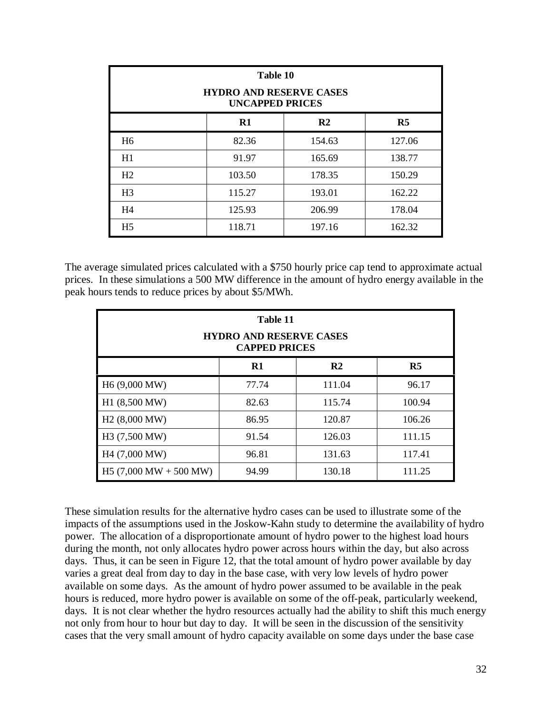|                | Table 10<br><b>HYDRO AND RESERVE CASES</b><br><b>UNCAPPED PRICES</b> |                |                |
|----------------|----------------------------------------------------------------------|----------------|----------------|
|                | R1                                                                   | R <sub>2</sub> | R <sub>5</sub> |
| H <sub>6</sub> | 82.36                                                                | 154.63         | 127.06         |
| H1             | 91.97                                                                | 165.69         | 138.77         |
| H <sub>2</sub> | 103.50                                                               | 178.35         | 150.29         |
| H <sub>3</sub> | 115.27                                                               | 193.01         | 162.22         |
| H <sub>4</sub> | 125.93                                                               | 206.99         | 178.04         |
| H <sub>5</sub> | 118.71                                                               | 197.16         | 162.32         |

The average simulated prices calculated with a \$750 hourly price cap tend to approximate actual prices. In these simulations a 500 MW difference in the amount of hydro energy available in the peak hours tends to reduce prices by about \$5/MWh.

|                                          | Table 11<br><b>HYDRO AND RESERVE CASES</b><br><b>CAPPED PRICES</b> |                |                |
|------------------------------------------|--------------------------------------------------------------------|----------------|----------------|
|                                          | $\mathbf{R}1$                                                      | R <sub>2</sub> | R <sub>5</sub> |
| H <sub>6</sub> (9,000 MW)                | 77.74                                                              | 111.04         | 96.17          |
| H1 (8,500 MW)                            | 82.63                                                              | 115.74         | 100.94         |
| H <sub>2</sub> (8,000 MW)                | 86.95                                                              | 120.87         | 106.26         |
| H3 (7,500 MW)                            | 91.54                                                              | 126.03         | 111.15         |
| H4 (7,000 MW)                            | 96.81                                                              | 131.63         | 117.41         |
| H5 $(7,000 \text{ MW} + 500 \text{ MW})$ | 94.99                                                              | 130.18         | 111.25         |

These simulation results for the alternative hydro cases can be used to illustrate some of the impacts of the assumptions used in the Joskow-Kahn study to determine the availability of hydro power. The allocation of a disproportionate amount of hydro power to the highest load hours during the month, not only allocates hydro power across hours within the day, but also across days. Thus, it can be seen in Figure 12, that the total amount of hydro power available by day varies a great deal from day to day in the base case, with very low levels of hydro power available on some days. As the amount of hydro power assumed to be available in the peak hours is reduced, more hydro power is available on some of the off-peak, particularly weekend, days. It is not clear whether the hydro resources actually had the ability to shift this much energy not only from hour to hour but day to day. It will be seen in the discussion of the sensitivity cases that the very small amount of hydro capacity available on some days under the base case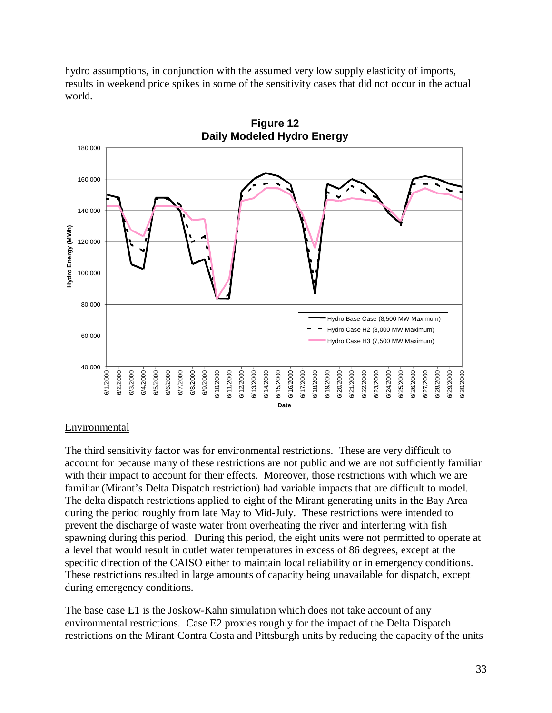hydro assumptions, in conjunction with the assumed very low supply elasticity of imports, results in weekend price spikes in some of the sensitivity cases that did not occur in the actual world.



**Figure B Figure 12**

### Environmental

The third sensitivity factor was for environmental restrictions. These are very difficult to account for because many of these restrictions are not public and we are not sufficiently familiar with their impact to account for their effects. Moreover, those restrictions with which we are familiar (Mirant's Delta Dispatch restriction) had variable impacts that are difficult to model. The delta dispatch restrictions applied to eight of the Mirant generating units in the Bay Area during the period roughly from late May to Mid-July. These restrictions were intended to prevent the discharge of waste water from overheating the river and interfering with fish spawning during this period. During this period, the eight units were not permitted to operate at a level that would result in outlet water temperatures in excess of 86 degrees, except at the specific direction of the CAISO either to maintain local reliability or in emergency conditions. These restrictions resulted in large amounts of capacity being unavailable for dispatch, except during emergency conditions.

The base case E1 is the Joskow-Kahn simulation which does not take account of any environmental restrictions. Case E2 proxies roughly for the impact of the Delta Dispatch restrictions on the Mirant Contra Costa and Pittsburgh units by reducing the capacity of the units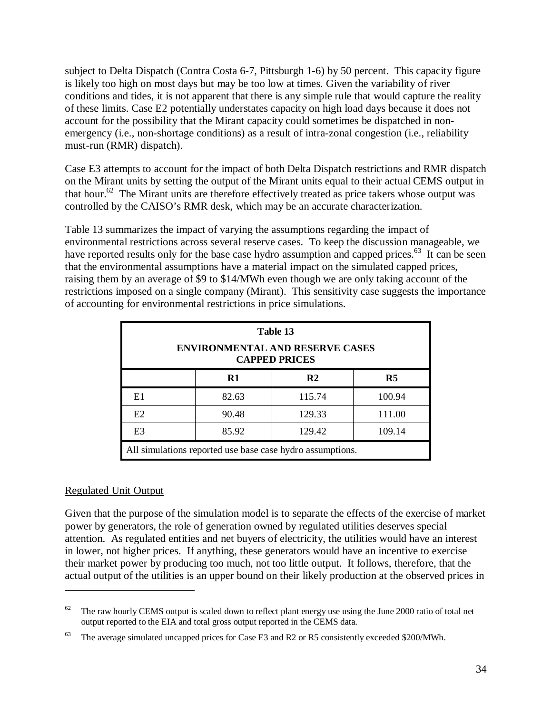subject to Delta Dispatch (Contra Costa 6-7, Pittsburgh 1-6) by 50 percent. This capacity figure is likely too high on most days but may be too low at times. Given the variability of river conditions and tides, it is not apparent that there is any simple rule that would capture the reality of these limits. Case E2 potentially understates capacity on high load days because it does not account for the possibility that the Mirant capacity could sometimes be dispatched in nonemergency (i.e., non-shortage conditions) as a result of intra-zonal congestion (i.e., reliability must-run (RMR) dispatch).

Case E3 attempts to account for the impact of both Delta Dispatch restrictions and RMR dispatch on the Mirant units by setting the output of the Mirant units equal to their actual CEMS output in that hour.<sup>62</sup> The Mirant units are therefore effectively treated as price takers whose output was controlled by the CAISO's RMR desk, which may be an accurate characterization.

Table 13 summarizes the impact of varying the assumptions regarding the impact of environmental restrictions across several reserve cases. To keep the discussion manageable, we have reported results only for the base case hydro assumption and capped prices.<sup>63</sup> It can be seen that the environmental assumptions have a material impact on the simulated capped prices, raising them by an average of \$9 to \$14/MWh even though we are only taking account of the restrictions imposed on a single company (Mirant). This sensitivity case suggests the importance of accounting for environmental restrictions in price simulations.

|                |                           | Table 13<br><b>ENVIRONMENTAL AND RESERVE CASES</b><br><b>CAPPED PRICES</b> |                |  |  |  |  |  |  |
|----------------|---------------------------|----------------------------------------------------------------------------|----------------|--|--|--|--|--|--|
|                | $\mathbf{R}1$             | R <sub>2</sub>                                                             | R <sub>5</sub> |  |  |  |  |  |  |
| E1             | 100.94<br>82.63<br>115.74 |                                                                            |                |  |  |  |  |  |  |
| E2             | 90.48                     | 129.33                                                                     | 111.00         |  |  |  |  |  |  |
| E <sub>3</sub> | 85.92                     | 129.42                                                                     | 109.14         |  |  |  |  |  |  |
|                |                           | All simulations reported use base case hydro assumptions.                  |                |  |  |  |  |  |  |

### Regulated Unit Output

 $\overline{a}$ 

Given that the purpose of the simulation model is to separate the effects of the exercise of market power by generators, the role of generation owned by regulated utilities deserves special attention. As regulated entities and net buyers of electricity, the utilities would have an interest in lower, not higher prices. If anything, these generators would have an incentive to exercise their market power by producing too much, not too little output. It follows, therefore, that the actual output of the utilities is an upper bound on their likely production at the observed prices in

 $62$  The raw hourly CEMS output is scaled down to reflect plant energy use using the June 2000 ratio of total net output reported to the EIA and total gross output reported in the CEMS data.

<sup>&</sup>lt;sup>63</sup> The average simulated uncapped prices for Case E3 and R2 or R5 consistently exceeded \$200/MWh.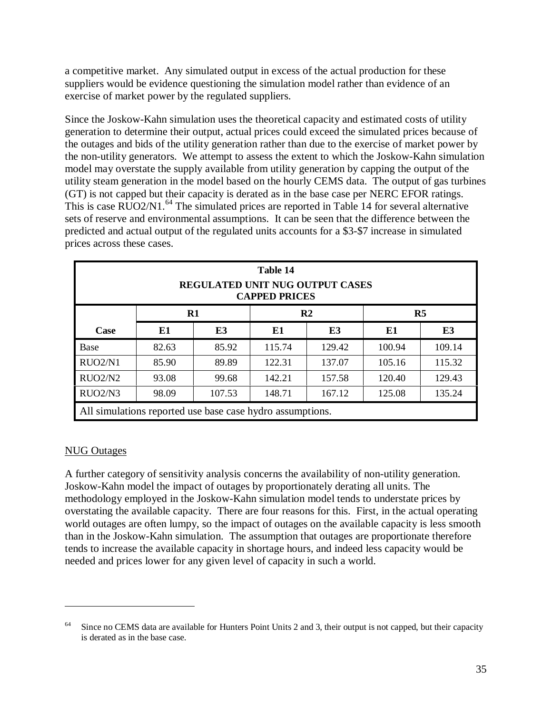a competitive market. Any simulated output in excess of the actual production for these suppliers would be evidence questioning the simulation model rather than evidence of an exercise of market power by the regulated suppliers.

Since the Joskow-Kahn simulation uses the theoretical capacity and estimated costs of utility generation to determine their output, actual prices could exceed the simulated prices because of the outages and bids of the utility generation rather than due to the exercise of market power by the non-utility generators. We attempt to assess the extent to which the Joskow-Kahn simulation model may overstate the supply available from utility generation by capping the output of the utility steam generation in the model based on the hourly CEMS data. The output of gas turbines (GT) is not capped but their capacity is derated as in the base case per NERC EFOR ratings. This is case RUO2/N1.<sup>64</sup> The simulated prices are reported in Table 14 for several alternative sets of reserve and environmental assumptions. It can be seen that the difference between the predicted and actual output of the regulated units accounts for a \$3-\$7 increase in simulated prices across these cases.

|                                                           |                             |        | Table 14<br><b>CAPPED PRICES</b> | <b>REGULATED UNIT NUG OUTPUT CASES</b> |        |        |  |  |
|-----------------------------------------------------------|-----------------------------|--------|----------------------------------|----------------------------------------|--------|--------|--|--|
|                                                           | R5<br>$R1$<br>$\mathbf{R}2$ |        |                                  |                                        |        |        |  |  |
| Case                                                      | E1                          | E3     | E1                               | E <sub>3</sub>                         | E1     | E3     |  |  |
| <b>Base</b>                                               | 82.63                       | 85.92  | 115.74                           | 129.42                                 | 100.94 | 109.14 |  |  |
| RUO2/N1                                                   | 85.90                       | 89.89  | 122.31                           | 137.07                                 | 105.16 | 115.32 |  |  |
| RUO2/N2                                                   | 93.08                       | 99.68  | 142.21                           | 157.58                                 | 120.40 | 129.43 |  |  |
| RUO2/N3                                                   | 98.09                       | 107.53 | 148.71                           | 167.12                                 | 125.08 | 135.24 |  |  |
| All simulations reported use base case hydro assumptions. |                             |        |                                  |                                        |        |        |  |  |

### NUG Outages

 $\overline{a}$ 

A further category of sensitivity analysis concerns the availability of non-utility generation. Joskow-Kahn model the impact of outages by proportionately derating all units. The methodology employed in the Joskow-Kahn simulation model tends to understate prices by overstating the available capacity. There are four reasons for this. First, in the actual operating world outages are often lumpy, so the impact of outages on the available capacity is less smooth than in the Joskow-Kahn simulation. The assumption that outages are proportionate therefore tends to increase the available capacity in shortage hours, and indeed less capacity would be needed and prices lower for any given level of capacity in such a world.

 $64$  Since no CEMS data are available for Hunters Point Units 2 and 3, their output is not capped, but their capacity is derated as in the base case.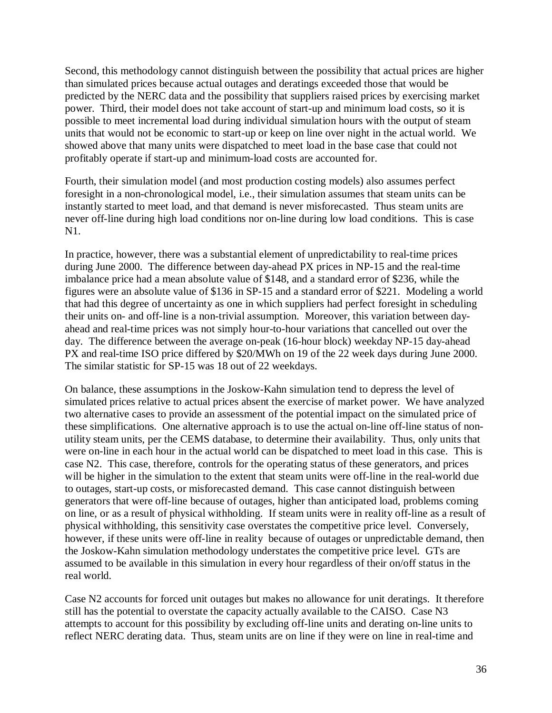Second, this methodology cannot distinguish between the possibility that actual prices are higher than simulated prices because actual outages and deratings exceeded those that would be predicted by the NERC data and the possibility that suppliers raised prices by exercising market power. Third, their model does not take account of start-up and minimum load costs, so it is possible to meet incremental load during individual simulation hours with the output of steam units that would not be economic to start-up or keep on line over night in the actual world. We showed above that many units were dispatched to meet load in the base case that could not profitably operate if start-up and minimum-load costs are accounted for.

Fourth, their simulation model (and most production costing models) also assumes perfect foresight in a non-chronological model, i.e., their simulation assumes that steam units can be instantly started to meet load, and that demand is never misforecasted. Thus steam units are never off-line during high load conditions nor on-line during low load conditions. This is case N1.

In practice, however, there was a substantial element of unpredictability to real-time prices during June 2000. The difference between day-ahead PX prices in NP-15 and the real-time imbalance price had a mean absolute value of \$148, and a standard error of \$236, while the figures were an absolute value of \$136 in SP-15 and a standard error of \$221. Modeling a world that had this degree of uncertainty as one in which suppliers had perfect foresight in scheduling their units on- and off-line is a non-trivial assumption. Moreover, this variation between dayahead and real-time prices was not simply hour-to-hour variations that cancelled out over the day. The difference between the average on-peak (16-hour block) weekday NP-15 day-ahead PX and real-time ISO price differed by \$20/MWh on 19 of the 22 week days during June 2000. The similar statistic for SP-15 was 18 out of 22 weekdays.

On balance, these assumptions in the Joskow-Kahn simulation tend to depress the level of simulated prices relative to actual prices absent the exercise of market power. We have analyzed two alternative cases to provide an assessment of the potential impact on the simulated price of these simplifications. One alternative approach is to use the actual on-line off-line status of nonutility steam units, per the CEMS database, to determine their availability. Thus, only units that were on-line in each hour in the actual world can be dispatched to meet load in this case. This is case N2. This case, therefore, controls for the operating status of these generators, and prices will be higher in the simulation to the extent that steam units were off-line in the real-world due to outages, start-up costs, or misforecasted demand. This case cannot distinguish between generators that were off-line because of outages, higher than anticipated load, problems coming on line, or as a result of physical withholding. If steam units were in reality off-line as a result of physical withholding, this sensitivity case overstates the competitive price level. Conversely, however, if these units were off-line in reality because of outages or unpredictable demand, then the Joskow-Kahn simulation methodology understates the competitive price level. GTs are assumed to be available in this simulation in every hour regardless of their on/off status in the real world.

Case N2 accounts for forced unit outages but makes no allowance for unit deratings. It therefore still has the potential to overstate the capacity actually available to the CAISO. Case N3 attempts to account for this possibility by excluding off-line units and derating on-line units to reflect NERC derating data. Thus, steam units are on line if they were on line in real-time and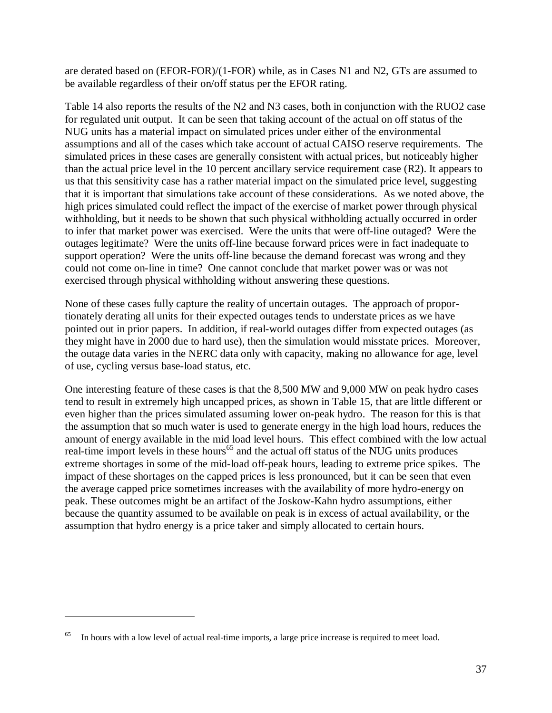are derated based on (EFOR-FOR)/(1-FOR) while, as in Cases N1 and N2, GTs are assumed to be available regardless of their on/off status per the EFOR rating.

Table 14 also reports the results of the N2 and N3 cases, both in conjunction with the RUO2 case for regulated unit output. It can be seen that taking account of the actual on off status of the NUG units has a material impact on simulated prices under either of the environmental assumptions and all of the cases which take account of actual CAISO reserve requirements. The simulated prices in these cases are generally consistent with actual prices, but noticeably higher than the actual price level in the 10 percent ancillary service requirement case (R2). It appears to us that this sensitivity case has a rather material impact on the simulated price level, suggesting that it is important that simulations take account of these considerations. As we noted above, the high prices simulated could reflect the impact of the exercise of market power through physical withholding, but it needs to be shown that such physical withholding actually occurred in order to infer that market power was exercised. Were the units that were off-line outaged? Were the outages legitimate? Were the units off-line because forward prices were in fact inadequate to support operation? Were the units off-line because the demand forecast was wrong and they could not come on-line in time? One cannot conclude that market power was or was not exercised through physical withholding without answering these questions.

None of these cases fully capture the reality of uncertain outages. The approach of proportionately derating all units for their expected outages tends to understate prices as we have pointed out in prior papers. In addition, if real-world outages differ from expected outages (as they might have in 2000 due to hard use), then the simulation would misstate prices. Moreover, the outage data varies in the NERC data only with capacity, making no allowance for age, level of use, cycling versus base-load status, etc.

One interesting feature of these cases is that the 8,500 MW and 9,000 MW on peak hydro cases tend to result in extremely high uncapped prices, as shown in Table 15, that are little different or even higher than the prices simulated assuming lower on-peak hydro. The reason for this is that the assumption that so much water is used to generate energy in the high load hours, reduces the amount of energy available in the mid load level hours. This effect combined with the low actual real-time import levels in these hours<sup>65</sup> and the actual off status of the NUG units produces extreme shortages in some of the mid-load off-peak hours, leading to extreme price spikes. The impact of these shortages on the capped prices is less pronounced, but it can be seen that even the average capped price sometimes increases with the availability of more hydro-energy on peak. These outcomes might be an artifact of the Joskow-Kahn hydro assumptions, either because the quantity assumed to be available on peak is in excess of actual availability, or the assumption that hydro energy is a price taker and simply allocated to certain hours.

In hours with a low level of actual real-time imports, a large price increase is required to meet load.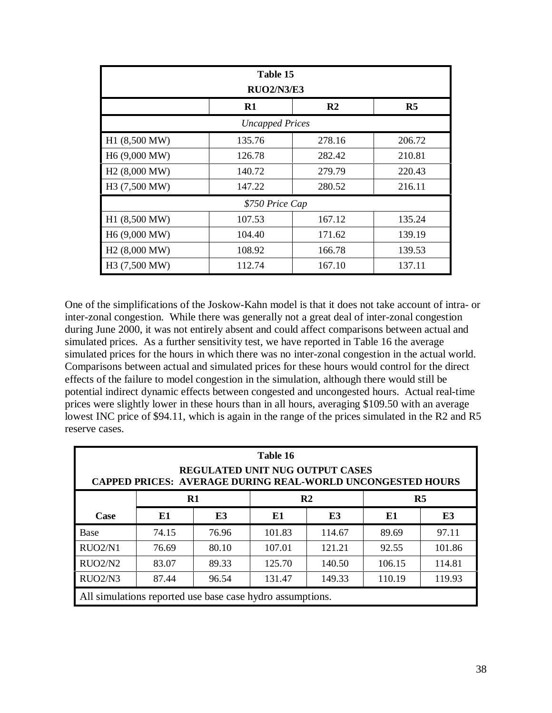|                           | Table 15<br><b>RUO2/N3/E3</b> |                |        |
|---------------------------|-------------------------------|----------------|--------|
|                           | $\mathbf{R}1$                 | R <sub>2</sub> | R5     |
|                           | <b>Uncapped Prices</b>        |                |        |
| H1 (8,500 MW)             | 135.76                        | 278.16         | 206.72 |
| H <sub>6</sub> (9,000 MW) | 126.78                        | 282.42         | 210.81 |
| H <sub>2</sub> (8,000 MW) | 140.72                        | 279.79         | 220.43 |
| H3 (7,500 MW)             | 147.22                        | 280.52         | 216.11 |
|                           | \$750 Price Cap               |                |        |
| H1 (8,500 MW)             | 107.53                        | 167.12         | 135.24 |
| H <sub>6</sub> (9,000 MW) | 104.40                        | 171.62         | 139.19 |
| H <sub>2</sub> (8,000 MW) | 108.92                        | 166.78         | 139.53 |
| H3 (7,500 MW)             | 112.74                        | 167.10         | 137.11 |

One of the simplifications of the Joskow-Kahn model is that it does not take account of intra- or inter-zonal congestion. While there was generally not a great deal of inter-zonal congestion during June 2000, it was not entirely absent and could affect comparisons between actual and simulated prices. As a further sensitivity test, we have reported in Table 16 the average simulated prices for the hours in which there was no inter-zonal congestion in the actual world. Comparisons between actual and simulated prices for these hours would control for the direct effects of the failure to model congestion in the simulation, although there would still be potential indirect dynamic effects between congested and uncongested hours. Actual real-time prices were slightly lower in these hours than in all hours, averaging \$109.50 with an average lowest INC price of \$94.11, which is again in the range of the prices simulated in the R2 and R5 reserve cases.

|                                                           | <b>CAPPED PRICES: AVERAGE DURING REAL-WORLD UNCONGESTED HOURS</b> |       | Table 16 | <b>REGULATED UNIT NUG OUTPUT CASES</b> |        |        |  |
|-----------------------------------------------------------|-------------------------------------------------------------------|-------|----------|----------------------------------------|--------|--------|--|
|                                                           | R1<br>R <sub>2</sub><br>R <sub>5</sub>                            |       |          |                                        |        |        |  |
| Case                                                      | E1                                                                | E3    | E1       | E3                                     | E1     | E3     |  |
| Base                                                      | 74.15                                                             | 76.96 | 101.83   | 114.67                                 | 89.69  | 97.11  |  |
| RUO2/N1                                                   | 76.69                                                             | 80.10 | 107.01   | 121.21                                 | 92.55  | 101.86 |  |
| RUO2/N2                                                   | 83.07                                                             | 89.33 | 125.70   | 140.50                                 | 106.15 | 114.81 |  |
| RUO2/N3                                                   | 87.44                                                             | 96.54 | 131.47   | 149.33                                 | 110.19 | 119.93 |  |
| All simulations reported use base case hydro assumptions. |                                                                   |       |          |                                        |        |        |  |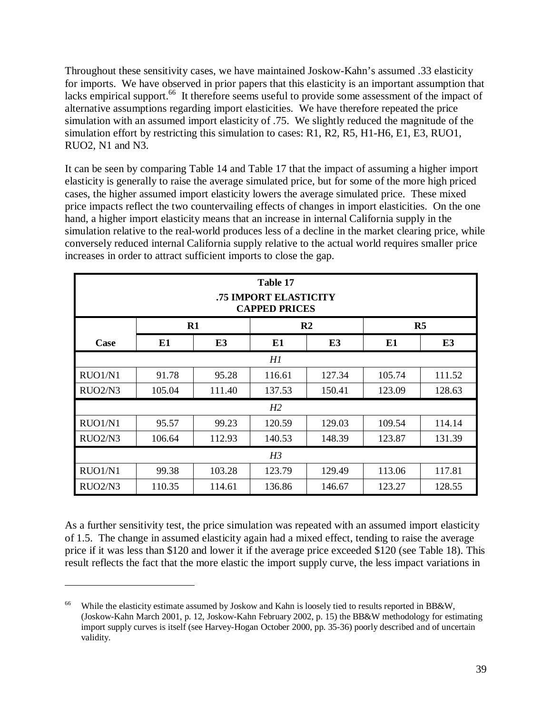Throughout these sensitivity cases, we have maintained Joskow-Kahn's assumed .33 elasticity for imports. We have observed in prior papers that this elasticity is an important assumption that lacks empirical support.<sup>66</sup> It therefore seems useful to provide some assessment of the impact of alternative assumptions regarding import elasticities. We have therefore repeated the price simulation with an assumed import elasticity of .75. We slightly reduced the magnitude of the simulation effort by restricting this simulation to cases: R1, R2, R5, H1-H6, E1, E3, RUO1, RUO2, N1 and N3.

It can be seen by comparing Table 14 and Table 17 that the impact of assuming a higher import elasticity is generally to raise the average simulated price, but for some of the more high priced cases, the higher assumed import elasticity lowers the average simulated price. These mixed price impacts reflect the two countervailing effects of changes in import elasticities. On the one hand, a higher import elasticity means that an increase in internal California supply in the simulation relative to the real-world produces less of a decline in the market clearing price, while conversely reduced internal California supply relative to the actual world requires smaller price increases in order to attract sufficient imports to close the gap.

|                                  |        |        | Table 17<br>.75 IMPORT ELASTICITY<br><b>CAPPED PRICES</b> |               |        |        |
|----------------------------------|--------|--------|-----------------------------------------------------------|---------------|--------|--------|
|                                  | R1     |        |                                                           | $\mathbf{R2}$ | R5     |        |
| Case                             | E1     | E3     | E1                                                        | E3            | E1     | E3     |
|                                  |        |        | H1                                                        |               |        |        |
| RUO1/N1                          | 91.78  | 95.28  | 116.61                                                    | 127.34        | 105.74 | 111.52 |
| RUO2/N3                          | 105.04 | 111.40 | 137.53                                                    | 150.41        | 123.09 | 128.63 |
|                                  |        |        | H2                                                        |               |        |        |
| RUO1/N1                          | 95.57  | 99.23  | 120.59                                                    | 129.03        | 109.54 | 114.14 |
| RUO <sub>2</sub> /N <sub>3</sub> | 106.64 | 112.93 | 140.53                                                    | 148.39        | 123.87 | 131.39 |
|                                  |        |        | H <sub>3</sub>                                            |               |        |        |
| RUO1/N1                          | 99.38  | 103.28 | 123.79                                                    | 129.49        | 113.06 | 117.81 |
| RUO2/N3                          | 110.35 | 114.61 | 136.86                                                    | 146.67        | 123.27 | 128.55 |

As a further sensitivity test, the price simulation was repeated with an assumed import elasticity of 1.5. The change in assumed elasticity again had a mixed effect, tending to raise the average price if it was less than \$120 and lower it if the average price exceeded \$120 (see Table 18). This result reflects the fact that the more elastic the import supply curve, the less impact variations in

While the elasticity estimate assumed by Joskow and Kahn is loosely tied to results reported in BB&W, (Joskow-Kahn March 2001, p. 12, Joskow-Kahn February 2002, p. 15) the BB&W methodology for estimating import supply curves is itself (see Harvey-Hogan October 2000, pp. 35-36) poorly described and of uncertain validity.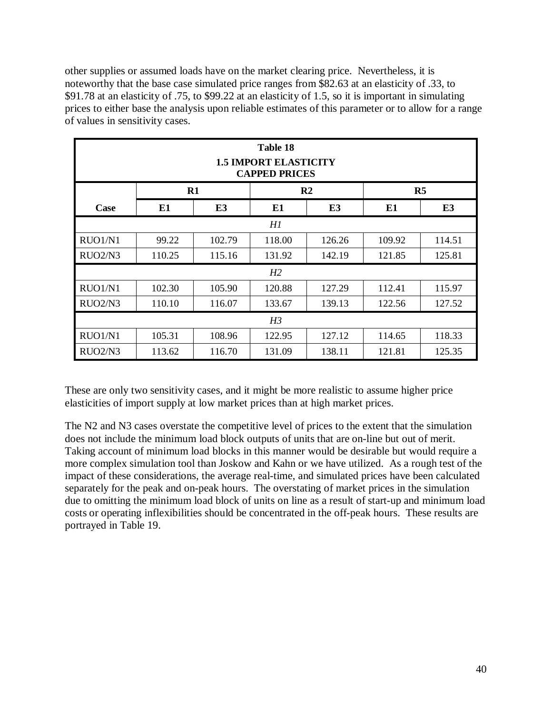other supplies or assumed loads have on the market clearing price. Nevertheless, it is noteworthy that the base case simulated price ranges from \$82.63 at an elasticity of .33, to \$91.78 at an elasticity of .75, to \$99.22 at an elasticity of 1.5, so it is important in simulating prices to either base the analysis upon reliable estimates of this parameter or to allow for a range of values in sensitivity cases.

|                                  |        |                | Table 18<br><b>1.5 IMPORT ELASTICITY</b><br><b>CAPPED PRICES</b> |               |        |        |
|----------------------------------|--------|----------------|------------------------------------------------------------------|---------------|--------|--------|
|                                  | $R1$   |                |                                                                  | $\mathbf{R}2$ | R5     |        |
| Case                             | E1     | E <sub>3</sub> | E1                                                               | E3            | E1     | E3     |
|                                  |        |                | H1                                                               |               |        |        |
| RUO1/N1                          | 99.22  | 102.79         | 118.00                                                           | 126.26        | 109.92 | 114.51 |
| RUO <sub>2</sub> /N <sub>3</sub> | 110.25 | 115.16         | 131.92                                                           | 142.19        | 121.85 | 125.81 |
|                                  |        |                | H <sub>2</sub>                                                   |               |        |        |
| RUO1/N1                          | 102.30 | 105.90         | 120.88                                                           | 127.29        | 112.41 | 115.97 |
| RUO <sub>2</sub> /N <sub>3</sub> | 110.10 | 116.07         | 133.67                                                           | 139.13        | 122.56 | 127.52 |
|                                  |        |                | H <sub>3</sub>                                                   |               |        |        |
| RUO1/N1                          | 105.31 | 108.96         | 122.95                                                           | 127.12        | 114.65 | 118.33 |
| RUO <sub>2</sub> /N <sub>3</sub> | 113.62 | 116.70         | 131.09                                                           | 138.11        | 121.81 | 125.35 |

These are only two sensitivity cases, and it might be more realistic to assume higher price elasticities of import supply at low market prices than at high market prices.

The N2 and N3 cases overstate the competitive level of prices to the extent that the simulation does not include the minimum load block outputs of units that are on-line but out of merit. Taking account of minimum load blocks in this manner would be desirable but would require a more complex simulation tool than Joskow and Kahn or we have utilized. As a rough test of the impact of these considerations, the average real-time, and simulated prices have been calculated separately for the peak and on-peak hours. The overstating of market prices in the simulation due to omitting the minimum load block of units on line as a result of start-up and minimum load costs or operating inflexibilities should be concentrated in the off-peak hours. These results are portrayed in Table 19.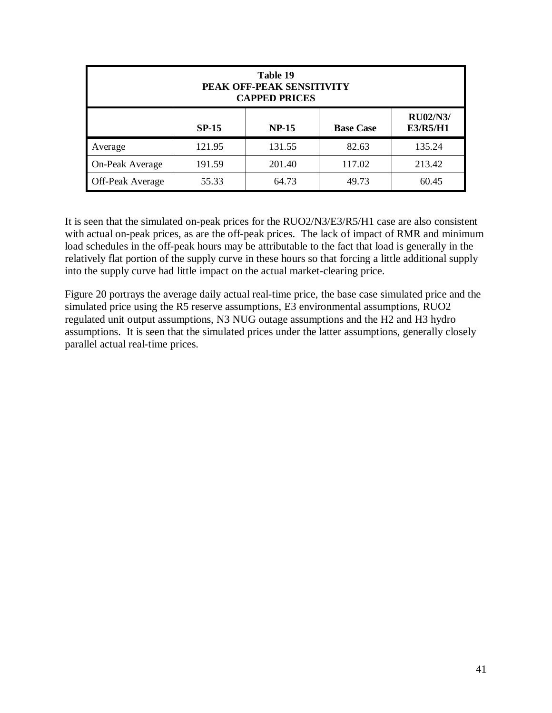|                         |              | Table 19<br>PEAK OFF-PEAK SENSITIVITY<br><b>CAPPED PRICES</b> |                  |                             |
|-------------------------|--------------|---------------------------------------------------------------|------------------|-----------------------------|
|                         | <b>SP-15</b> | <b>NP-15</b>                                                  | <b>Base Case</b> | <b>RU02/N3/</b><br>E3/R5/H1 |
| Average                 | 121.95       | 131.55                                                        | 82.63            | 135.24                      |
| On-Peak Average         | 191.59       | 201.40                                                        | 117.02           | 213.42                      |
| <b>Off-Peak Average</b> | 55.33        | 64.73                                                         | 49.73            | 60.45                       |

It is seen that the simulated on-peak prices for the RUO2/N3/E3/R5/H1 case are also consistent with actual on-peak prices, as are the off-peak prices. The lack of impact of RMR and minimum load schedules in the off-peak hours may be attributable to the fact that load is generally in the relatively flat portion of the supply curve in these hours so that forcing a little additional supply into the supply curve had little impact on the actual market-clearing price.

Figure 20 portrays the average daily actual real-time price, the base case simulated price and the simulated price using the R5 reserve assumptions, E3 environmental assumptions, RUO2 regulated unit output assumptions, N3 NUG outage assumptions and the H2 and H3 hydro assumptions. It is seen that the simulated prices under the latter assumptions, generally closely parallel actual real-time prices.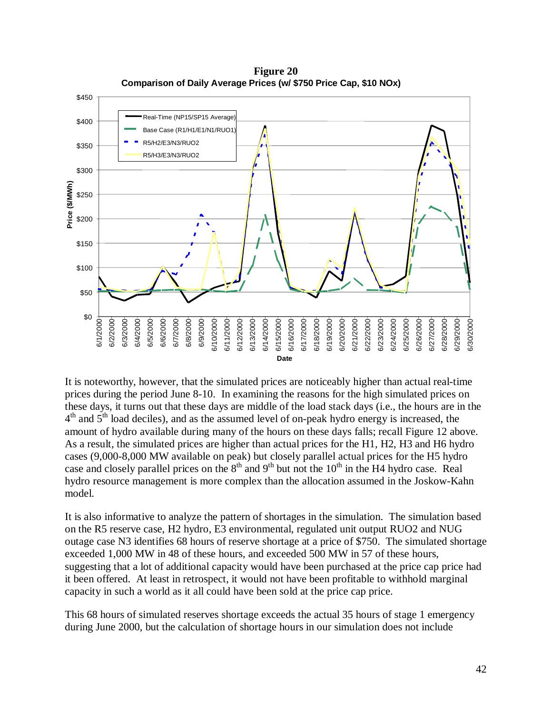

**Figure 20 Comparison of Daily Average Prices (w/ \$750 Price Cap, \$10 NOx)**

It is noteworthy, however, that the simulated prices are noticeably higher than actual real-time prices during the period June 8-10. In examining the reasons for the high simulated prices on these days, it turns out that these days are middle of the load stack days (i.e., the hours are in the  $4<sup>th</sup>$  and  $5<sup>th</sup>$  load deciles), and as the assumed level of on-peak hydro energy is increased, the amount of hydro available during many of the hours on these days falls; recall Figure 12 above. As a result, the simulated prices are higher than actual prices for the H1, H2, H3 and H6 hydro cases (9,000-8,000 MW available on peak) but closely parallel actual prices for the H5 hydro case and closely parallel prices on the  $8<sup>th</sup>$  and  $9<sup>th</sup>$  but not the  $10<sup>th</sup>$  in the H4 hydro case. Real hydro resource management is more complex than the allocation assumed in the Joskow-Kahn model.

It is also informative to analyze the pattern of shortages in the simulation. The simulation based on the R5 reserve case, H2 hydro, E3 environmental, regulated unit output RUO2 and NUG outage case N3 identifies 68 hours of reserve shortage at a price of \$750. The simulated shortage exceeded 1,000 MW in 48 of these hours, and exceeded 500 MW in 57 of these hours, suggesting that a lot of additional capacity would have been purchased at the price cap price had it been offered. At least in retrospect, it would not have been profitable to withhold marginal capacity in such a world as it all could have been sold at the price cap price.

This 68 hours of simulated reserves shortage exceeds the actual 35 hours of stage 1 emergency during June 2000, but the calculation of shortage hours in our simulation does not include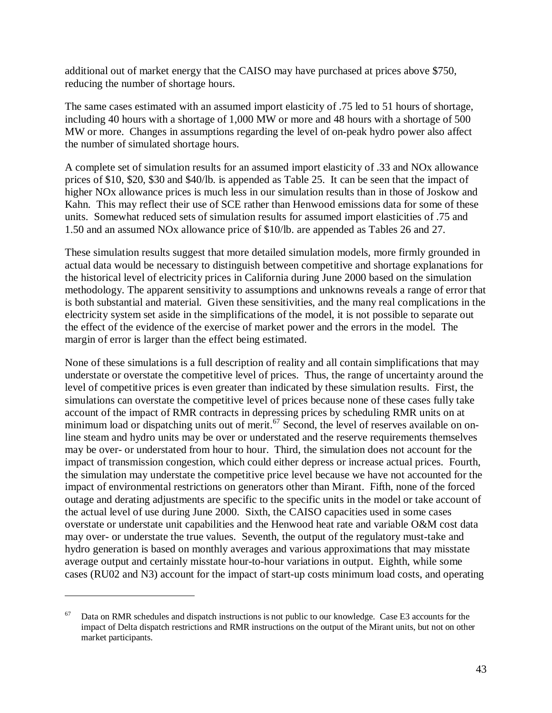additional out of market energy that the CAISO may have purchased at prices above \$750, reducing the number of shortage hours.

The same cases estimated with an assumed import elasticity of .75 led to 51 hours of shortage, including 40 hours with a shortage of 1,000 MW or more and 48 hours with a shortage of 500 MW or more. Changes in assumptions regarding the level of on-peak hydro power also affect the number of simulated shortage hours.

A complete set of simulation results for an assumed import elasticity of .33 and NOx allowance prices of \$10, \$20, \$30 and \$40/lb. is appended as Table 25. It can be seen that the impact of higher NOx allowance prices is much less in our simulation results than in those of Joskow and Kahn. This may reflect their use of SCE rather than Henwood emissions data for some of these units. Somewhat reduced sets of simulation results for assumed import elasticities of .75 and 1.50 and an assumed NOx allowance price of \$10/lb. are appended as Tables 26 and 27.

These simulation results suggest that more detailed simulation models, more firmly grounded in actual data would be necessary to distinguish between competitive and shortage explanations for the historical level of electricity prices in California during June 2000 based on the simulation methodology. The apparent sensitivity to assumptions and unknowns reveals a range of error that is both substantial and material. Given these sensitivities, and the many real complications in the electricity system set aside in the simplifications of the model, it is not possible to separate out the effect of the evidence of the exercise of market power and the errors in the model. The margin of error is larger than the effect being estimated.

None of these simulations is a full description of reality and all contain simplifications that may understate or overstate the competitive level of prices. Thus, the range of uncertainty around the level of competitive prices is even greater than indicated by these simulation results. First, the simulations can overstate the competitive level of prices because none of these cases fully take account of the impact of RMR contracts in depressing prices by scheduling RMR units on at minimum load or dispatching units out of merit.<sup>67</sup> Second, the level of reserves available on online steam and hydro units may be over or understated and the reserve requirements themselves may be over- or understated from hour to hour. Third, the simulation does not account for the impact of transmission congestion, which could either depress or increase actual prices. Fourth, the simulation may understate the competitive price level because we have not accounted for the impact of environmental restrictions on generators other than Mirant. Fifth, none of the forced outage and derating adjustments are specific to the specific units in the model or take account of the actual level of use during June 2000. Sixth, the CAISO capacities used in some cases overstate or understate unit capabilities and the Henwood heat rate and variable O&M cost data may over- or understate the true values. Seventh, the output of the regulatory must-take and hydro generation is based on monthly averages and various approximations that may misstate average output and certainly misstate hour-to-hour variations in output. Eighth, while some cases (RU02 and N3) account for the impact of start-up costs minimum load costs, and operating

 $67$  Data on RMR schedules and dispatch instructions is not public to our knowledge. Case E3 accounts for the impact of Delta dispatch restrictions and RMR instructions on the output of the Mirant units, but not on other market participants.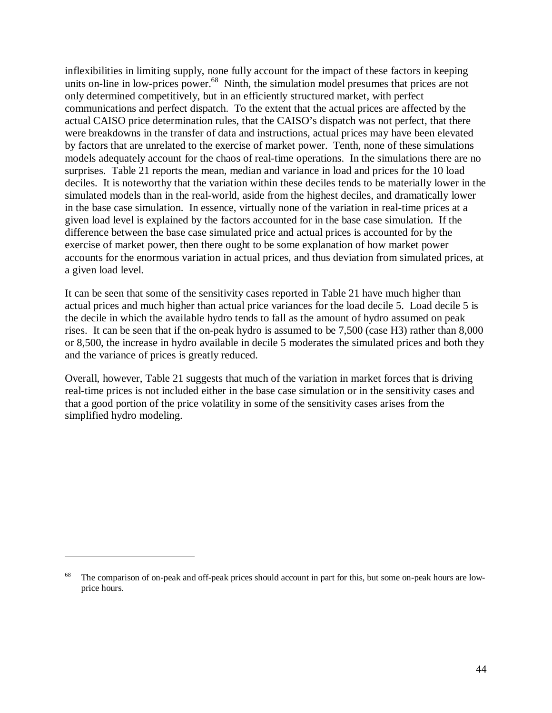inflexibilities in limiting supply, none fully account for the impact of these factors in keeping units on-line in low-prices power.<sup>68</sup> Ninth, the simulation model presumes that prices are not only determined competitively, but in an efficiently structured market, with perfect communications and perfect dispatch. To the extent that the actual prices are affected by the actual CAISO price determination rules, that the CAISO's dispatch was not perfect, that there were breakdowns in the transfer of data and instructions, actual prices may have been elevated by factors that are unrelated to the exercise of market power. Tenth, none of these simulations models adequately account for the chaos of real-time operations. In the simulations there are no surprises. Table 21 reports the mean, median and variance in load and prices for the 10 load deciles. It is noteworthy that the variation within these deciles tends to be materially lower in the simulated models than in the real-world, aside from the highest deciles, and dramatically lower in the base case simulation. In essence, virtually none of the variation in real-time prices at a given load level is explained by the factors accounted for in the base case simulation. If the difference between the base case simulated price and actual prices is accounted for by the exercise of market power, then there ought to be some explanation of how market power accounts for the enormous variation in actual prices, and thus deviation from simulated prices, at a given load level.

It can be seen that some of the sensitivity cases reported in Table 21 have much higher than actual prices and much higher than actual price variances for the load decile 5. Load decile 5 is the decile in which the available hydro tends to fall as the amount of hydro assumed on peak rises. It can be seen that if the on-peak hydro is assumed to be 7,500 (case H3) rather than 8,000 or 8,500, the increase in hydro available in decile 5 moderates the simulated prices and both they and the variance of prices is greatly reduced.

Overall, however, Table 21 suggests that much of the variation in market forces that is driving real-time prices is not included either in the base case simulation or in the sensitivity cases and that a good portion of the price volatility in some of the sensitivity cases arises from the simplified hydro modeling.

The comparison of on-peak and off-peak prices should account in part for this, but some on-peak hours are lowprice hours.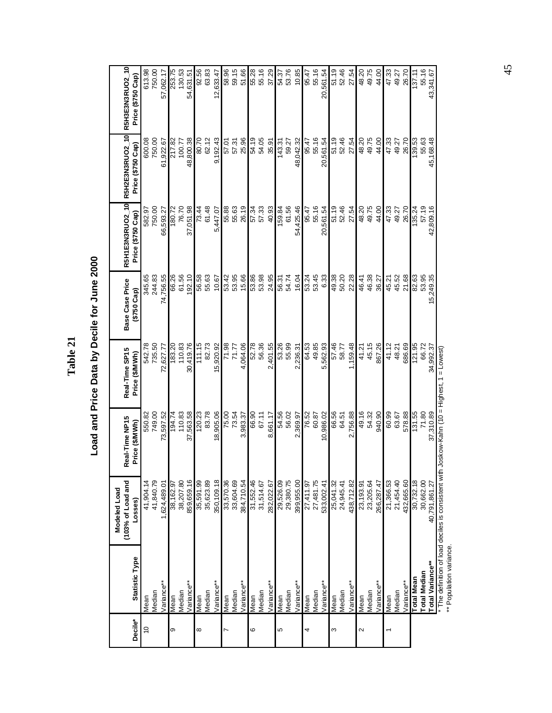|             |                        | (103% of Load and<br>Modeled Load | Real-Time NP15 | Real-Time SP15 | <b>Base Case Price</b> |                   | R5H1E3N3RUO2_10 R5H2E3N3RUO2_10 R5H3E3N3RUO2_10 |                   |
|-------------|------------------------|-----------------------------------|----------------|----------------|------------------------|-------------------|-------------------------------------------------|-------------------|
| Decile*     | Statistic Type         | Losses)                           | Price (\$/MWh) | Price (\$/MWh) | $(5750 \text{ Cap})$   | Price (\$750 Cap) | Price (\$750 Cap)                               | Price (\$750 Cap) |
| $\tilde{c}$ | Mean                   | 41,904.14                         | 550.82         | 542.78         | 345.65                 | 582.97            | 600.08                                          | 613.98            |
|             | Median                 | 41,840.79                         | 749.00         | 735.50         | 244.83                 | 750.00            | 750.00                                          | 750.00            |
|             | Variance**             | 1,624,489.01                      | 73,597.52      | 72,627.77      | 74,756.55              | 66,593.27         | 61,922.67                                       | 57,062.17         |
| თ           | Mean                   | 38,162.97                         | 194.74         | 183.20         | 66.26                  | 180.72            | 217.82                                          | 253.75            |
|             | Median                 | 38,207.80                         | 110.83         | 110.83         | 61.56                  | 76.70             | 100.77                                          | 130.53            |
|             | /ariance**             | 859,659.16                        | 37,563.58      | 30,419.76      | 192.10                 | 37,051.98         | 48,800.38                                       | 54,631.51         |
| ∞           | Mean                   | 35,591.99                         | 120.23         | 111.15         | 56.58                  | 73.44             | 80.70                                           | 92.56             |
|             | Median                 | 35,623.89                         | 83.78          | 82.73          | 55.63                  | 61.48             | 62.12                                           | 63.83             |
|             | Variance**             | 350,109.18                        | 18,905.06      | 15,920.92      | 10.67                  | 5,447.07          | 9,192.43                                        | 12,633.47         |
| N           | Mean                   | 33,570.36                         | 75.00          | 71.98          | 53.42                  | 55.88             | 57.01                                           | 58.96             |
|             | Median                 | 33,604.69                         | 73.54          | 77.77          | 53.95                  | 55.63             | 57.31                                           | 59.15             |
|             | Variance**             | 384,710.54                        | 3,983.37       | 4,064.06       | 15.66                  | 26.19             | 25.96                                           | 51.66             |
| ဖ           | Mean                   | 31,552.46                         | 66.90          | 52.78          | 53.86                  | 57.34             | 54.19                                           | 55.28             |
|             | Median                 | 31,514.67                         | 67.11          | 56.36          | 53.98                  | 57.33             | 54.05                                           | 55.16             |
|             | Variance**             | 282,022.67                        | 8,661.17       | 2,401.55       | 24.95                  | 40.93             | 35.91                                           | 37.29             |
| Ю           | Mean                   |                                   | 54.56          | 53.26          | 56.31<br>54.74         | 159.84            | 143.31                                          | 54.37             |
|             | Median                 | 29,526.09<br>29,380.75            | 56.02          | 55.99          |                        | 61.56             | 59.27                                           | 53.76             |
|             | Variance <sup>**</sup> | 399,955.00                        | 2,369.97       | 2,236.31       | 16.04                  | 54,425.46         | 48,042.32                                       | 10.85             |
| 4           | Mean                   | 27,411.97                         | 76.52          | 64.53          | 53.24                  | 95.47             | 95.47                                           | 95.47             |
|             | Median                 | 27,481.75                         | 60.87          | 49.85          | 53.45                  | 55.16             | 55.16                                           | 55.16             |
|             | Variance <sup>**</sup> | 533,002.41                        | 10,986.02      | 5,562.93       | 6.33                   | 20,561.54         | 20,561.54                                       | 20,561.54         |
| ო           | Mean                   | 25,041.32                         | 66.56          | 57.46          | 49.38                  | 51.19             | 51.19                                           | 51.19             |
|             | Median                 | 24,945.41                         | 64.51          | 58.77          | 50.20                  | 52.46             | 52.46                                           | 52.46             |
|             | Variance <sup>**</sup> | 438,712.82                        | 2,756.88       | 1,159.48       | 22.28                  | 27.54             | 27.54                                           | 27.54             |
| 2           | Mean                   | 23, 193.91                        | 49.16          | 41.21          | 46.41                  | 48.20             | 48.20                                           | 48.20             |
|             | Median                 | 23,205.64                         | 54.32          | 45.15          | 46.38                  | 49.75             | 49.75                                           | 49.75             |
|             | Variance**             | 266,287.47                        | 940.90         | 867.26         | 36.27                  | 44.00             | 44.00                                           | 44.00             |
|             | Mean                   | 21,366.53                         | 60.99          | 41.12          | 45.21                  | 47.33             | 47.33                                           | 47.33             |
|             | Median                 | 21,454.40                         | 63.67          | 48.21          | 45.52                  | 49.27             | 49.27                                           | 49.27             |
|             | Variance <sup>**</sup> | 432,665.60                        | 578.88         | 686.69         | 21.68                  | 26.70             | 26.70                                           | 26.70             |
|             | Total Mean             | 30,732.18                         | 131.55         | 121.95         | 82.63                  | 135.24            | 139.53                                          | 137.11            |
|             | <b>Total Median</b>    | 30,662.00                         | 71.80          | 66.72          | 53.95                  | 57.19             | 55.63                                           | 55.16             |
|             | Total Variance**       | 40,791,861.27                     | 37,310.89      | 34,992.37      | 15,249.35              | 42,809.16         | 45,168.48                                       | 43,341.67         |

Load and Price Data by Decile for June 2000 **Load and Price Data by Decile for June 2000**

**Table 21**

" The definition of load deciles is consistent with Joskow-Kahn (10 = Highest, 1 = Lowest)<br>\*\* Population variance.<br>\*\* Population variance. \* The definition of load deciles is consistent with Joskow-Kahn (10 = Highest, 1 = Lowest) \*\* Population variance.

45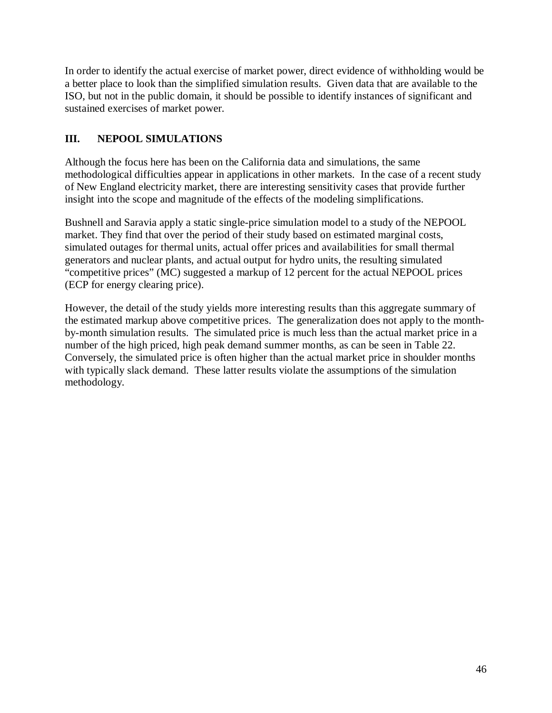In order to identify the actual exercise of market power, direct evidence of withholding would be a better place to look than the simplified simulation results. Given data that are available to the ISO, but not in the public domain, it should be possible to identify instances of significant and sustained exercises of market power.

# **III. NEPOOL SIMULATIONS**

Although the focus here has been on the California data and simulations, the same methodological difficulties appear in applications in other markets. In the case of a recent study of New England electricity market, there are interesting sensitivity cases that provide further insight into the scope and magnitude of the effects of the modeling simplifications.

Bushnell and Saravia apply a static single-price simulation model to a study of the NEPOOL market. They find that over the period of their study based on estimated marginal costs, simulated outages for thermal units, actual offer prices and availabilities for small thermal generators and nuclear plants, and actual output for hydro units, the resulting simulated "competitive prices" (MC) suggested a markup of 12 percent for the actual NEPOOL prices (ECP for energy clearing price).

However, the detail of the study yields more interesting results than this aggregate summary of the estimated markup above competitive prices. The generalization does not apply to the monthby-month simulation results. The simulated price is much less than the actual market price in a number of the high priced, high peak demand summer months, as can be seen in Table 22. Conversely, the simulated price is often higher than the actual market price in shoulder months with typically slack demand. These latter results violate the assumptions of the simulation methodology.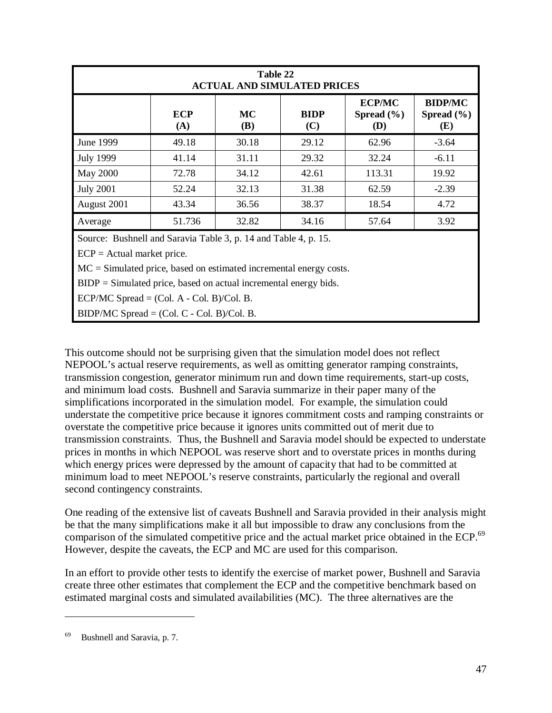|                  |                   | Table 22                | <b>ACTUAL AND SIMULATED PRICES</b> |                                        |                                         |
|------------------|-------------------|-------------------------|------------------------------------|----------------------------------------|-----------------------------------------|
|                  | <b>ECP</b><br>(A) | <b>MC</b><br><b>(B)</b> | <b>BIDP</b><br>(C)                 | <b>ECP/MC</b><br>Spread $(\% )$<br>(D) | <b>BIDP/MC</b><br>Spread $(\% )$<br>(E) |
| June 1999        | 49.18             | 30.18                   | 29.12                              | 62.96                                  | $-3.64$                                 |
| <b>July 1999</b> | 41.14             | 31.11                   | 29.32                              | 32.24                                  | $-6.11$                                 |
| <b>May 2000</b>  | 72.78             | 34.12                   | 42.61                              | 113.31                                 | 19.92                                   |
| <b>July 2001</b> | 52.24             | 32.13                   | 31.38                              | 62.59                                  | $-2.39$                                 |
| August 2001      | 43.34             | 36.56                   | 38.37                              | 18.54                                  | 4.72                                    |
| Average          | 51.736            | 32.82                   | 34.16                              | 57.64                                  | 3.92                                    |

Source: Bushnell and Saravia Table 3, p. 14 and Table 4, p. 15.

 $ECP =$  Actual market price.

MC = Simulated price, based on estimated incremental energy costs.

 $BIDP = Simulated price, based on actual incremental energy bids.$ 

ECP/MC Spread  $=$  (Col. A - Col. B)/Col. B.

BIDP/MC Spread = (Col. C - Col. B)/Col. B.

This outcome should not be surprising given that the simulation model does not reflect NEPOOL's actual reserve requirements, as well as omitting generator ramping constraints, transmission congestion, generator minimum run and down time requirements, start-up costs, and minimum load costs. Bushnell and Saravia summarize in their paper many of the simplifications incorporated in the simulation model. For example, the simulation could understate the competitive price because it ignores commitment costs and ramping constraints or overstate the competitive price because it ignores units committed out of merit due to transmission constraints. Thus, the Bushnell and Saravia model should be expected to understate prices in months in which NEPOOL was reserve short and to overstate prices in months during which energy prices were depressed by the amount of capacity that had to be committed at minimum load to meet NEPOOL's reserve constraints, particularly the regional and overall second contingency constraints.

One reading of the extensive list of caveats Bushnell and Saravia provided in their analysis might be that the many simplifications make it all but impossible to draw any conclusions from the comparison of the simulated competitive price and the actual market price obtained in the ECP.<sup>69</sup> However, despite the caveats, the ECP and MC are used for this comparison.

In an effort to provide other tests to identify the exercise of market power, Bushnell and Saravia create three other estimates that complement the ECP and the competitive benchmark based on estimated marginal costs and simulated availabilities (MC). The three alternatives are the

Bushnell and Saravia, p. 7.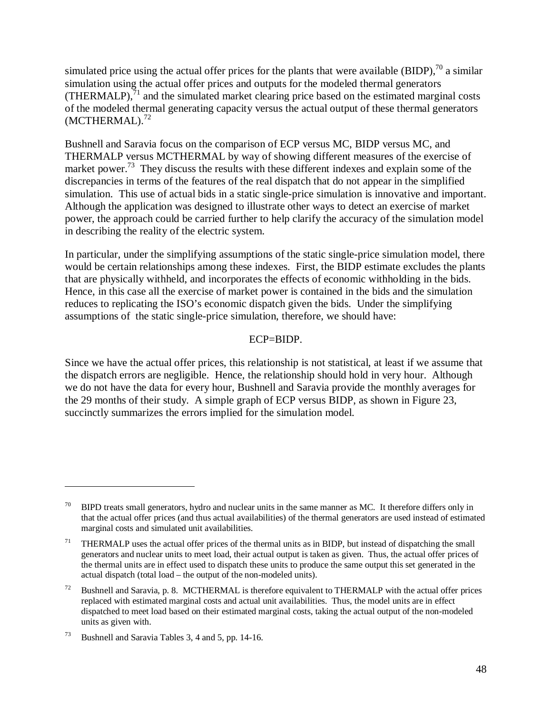simulated price using the actual offer prices for the plants that were available (BIDP),<sup>70</sup> a similar simulation using the actual offer prices and outputs for the modeled thermal generators (THERMALP), $^{71}$  and the simulated market clearing price based on the estimated marginal costs of the modeled thermal generating capacity versus the actual output of these thermal generators  $(MCTHERMAL).$ <sup>72</sup>

Bushnell and Saravia focus on the comparison of ECP versus MC, BIDP versus MC, and THERMALP versus MCTHERMAL by way of showing different measures of the exercise of market power.<sup>73</sup> They discuss the results with these different indexes and explain some of the discrepancies in terms of the features of the real dispatch that do not appear in the simplified simulation. This use of actual bids in a static single-price simulation is innovative and important. Although the application was designed to illustrate other ways to detect an exercise of market power, the approach could be carried further to help clarify the accuracy of the simulation model in describing the reality of the electric system.

In particular, under the simplifying assumptions of the static single-price simulation model, there would be certain relationships among these indexes. First, the BIDP estimate excludes the plants that are physically withheld, and incorporates the effects of economic withholding in the bids. Hence, in this case all the exercise of market power is contained in the bids and the simulation reduces to replicating the ISO's economic dispatch given the bids. Under the simplifying assumptions of the static single-price simulation, therefore, we should have:

#### ECP=BIDP.

Since we have the actual offer prices, this relationship is not statistical, at least if we assume that the dispatch errors are negligible. Hence, the relationship should hold in very hour. Although we do not have the data for every hour, Bushnell and Saravia provide the monthly averages for the 29 months of their study. A simple graph of ECP versus BIDP, as shown in Figure 23, succinctly summarizes the errors implied for the simulation model.

<sup>&</sup>lt;sup>70</sup> BIPD treats small generators, hydro and nuclear units in the same manner as MC. It therefore differs only in that the actual offer prices (and thus actual availabilities) of the thermal generators are used instead of estimated marginal costs and simulated unit availabilities.

<sup>&</sup>lt;sup>71</sup> THERMALP uses the actual offer prices of the thermal units as in BIDP, but instead of dispatching the small generators and nuclear units to meet load, their actual output is taken as given. Thus, the actual offer prices of the thermal units are in effect used to dispatch these units to produce the same output this set generated in the actual dispatch (total load – the output of the non-modeled units).

 $72$  Bushnell and Saravia, p. 8. MCTHERMAL is therefore equivalent to THERMALP with the actual offer prices replaced with estimated marginal costs and actual unit availabilities. Thus, the model units are in effect dispatched to meet load based on their estimated marginal costs, taking the actual output of the non-modeled units as given with.

<sup>73</sup> Bushnell and Saravia Tables 3, 4 and 5, pp. 14-16.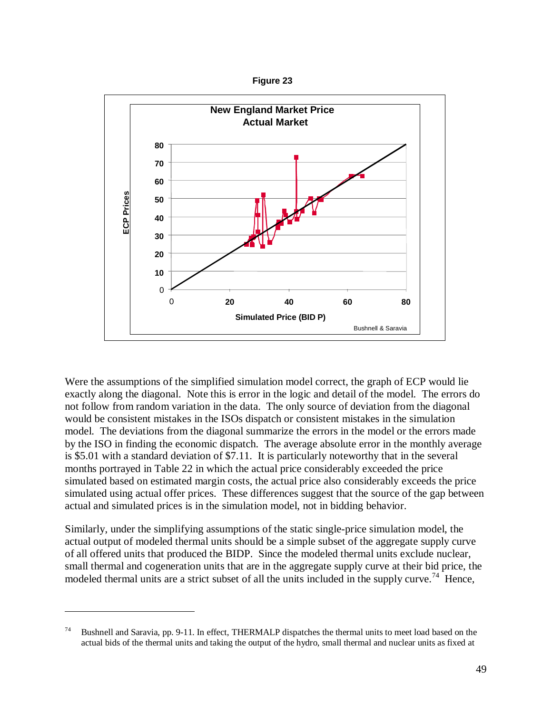



Were the assumptions of the simplified simulation model correct, the graph of ECP would lie exactly along the diagonal. Note this is error in the logic and detail of the model. The errors do not follow from random variation in the data. The only source of deviation from the diagonal would be consistent mistakes in the ISOs dispatch or consistent mistakes in the simulation model. The deviations from the diagonal summarize the errors in the model or the errors made by the ISO in finding the economic dispatch. The average absolute error in the monthly average is \$5.01 with a standard deviation of \$7.11. It is particularly noteworthy that in the several months portrayed in Table 22 in which the actual price considerably exceeded the price simulated based on estimated margin costs, the actual price also considerably exceeds the price simulated using actual offer prices. These differences suggest that the source of the gap between actual and simulated prices is in the simulation model, not in bidding behavior. **Example 19**<br> **and the the thermal bids of the thermal linits and taking the output of the hydrodynamic scarces of the same proportion of the simple of the informal taking the output of the more of the simple of the therm** 

Similarly, under the simplifying assumptions of the static single-price simulation model, the actual output of modeled thermal units should be a simple subset of the aggregate supply curve of all offered units that produced the BIDP. Since the modeled thermal units exclude nuclear, small thermal and cogeneration units that are in the aggregate supply curve at their bid price, the modeled thermal units are a strict subset of all the units included in the supply curve.<sup>74</sup> Hence,

<sup>74</sup> Bushnell and Saravia, pp. 9-11. In effect, THERMALP dispatches the thermal units to meet load based on the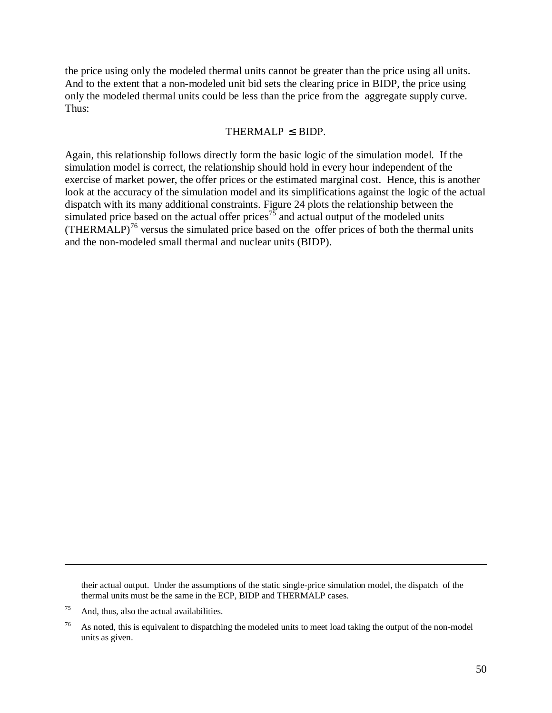the price using only the modeled thermal units cannot be greater than the price using all units. And to the extent that a non-modeled unit bid sets the clearing price in BIDP, the price using only the modeled thermal units could be less than the price from the aggregate supply curve. Thus:

#### THERMALP  $\leq$  BIDP.

Again, this relationship follows directly form the basic logic of the simulation model. If the simulation model is correct, the relationship should hold in every hour independent of the exercise of market power, the offer prices or the estimated marginal cost. Hence, this is another look at the accuracy of the simulation model and its simplifications against the logic of the actual dispatch with its many additional constraints. Figure 24 plots the relationship between the simulated price based on the actual offer prices<sup>75</sup> and actual output of the modeled units  $(THERMALP)<sup>76</sup>$  versus the simulated price based on the offer prices of both the thermal units and the non-modeled small thermal and nuclear units (BIDP).

their actual output. Under the assumptions of the static single-price simulation model, the dispatch of the thermal units must be the same in the ECP, BIDP and THERMALP cases.

 $75$  And, thus, also the actual availabilities.

<sup>&</sup>lt;sup>76</sup> As noted, this is equivalent to dispatching the modeled units to meet load taking the output of the non-model units as given.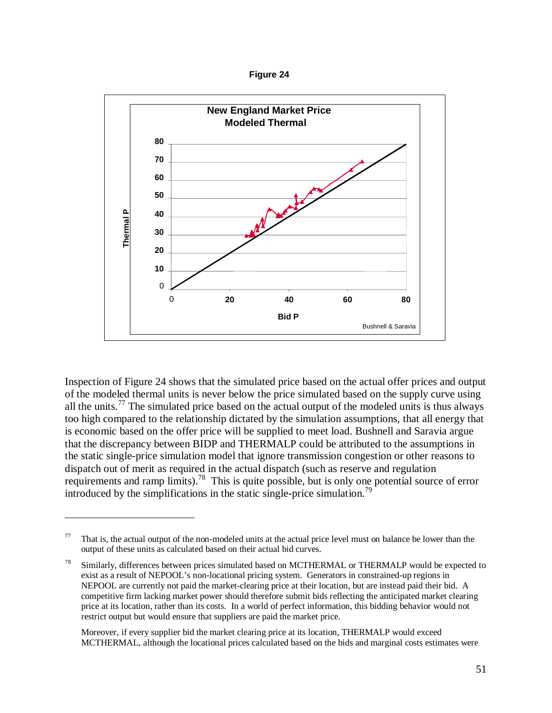**Figure 24**



Inspection of Figure 24 shows that the simulated price based on the actual offer prices and output of the modeled thermal units is never below the price simulated based on the supply curve using all the units.<sup>77</sup> The simulated price based on the actual output of the modeled units is thus always too high compared to the relationship dictated by the simulation assumptions, that all energy that is economic based on the offer price will be supplied to meet load. Bushnell and Saravia argue that the discrepancy between BIDP and THERMALP could be attributed to the assumptions in the static single-price simulation model that ignore transmission congestion or other reasons to dispatch out of merit as required in the actual dispatch (such as reserve and regulation requirements and ramp limits).<sup>78</sup> This is quite possible, but is only one potential source of error introduced by the simplifications in the static single-price simulation.<sup>79</sup>

 $\overline{a}$ 

Moreover, if every supplier bid the market clearing price at its location, THERMALP would exceed

That is, the actual output of the non-modeled units at the actual price level must on balance be lower than the output of these units as calculated based on their actual bid curves.

<sup>&</sup>lt;sup>78</sup> Similarly, differences between prices simulated based on MCTHERMAL or THERMALP would be expected to exist as a result of NEPOOL's non-locational pricing system. Generators in constrained-up regions in NEPOOL are currently not paid the market-clearing price at their location, but are instead paid their bid. A competitive firm lacking market power should therefore submit bids reflecting the anticipated market clearing price at its location, rather than its costs. In a world of perfect information, this bidding behavior would not restrict output but would ensure that suppliers are paid the market price.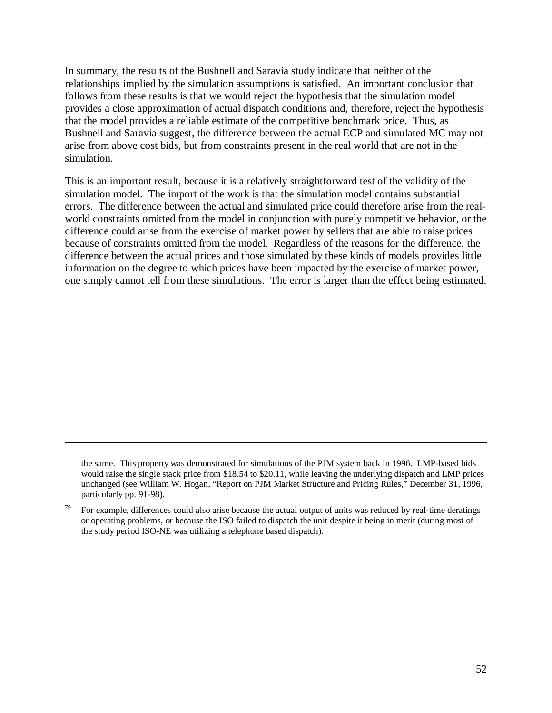In summary, the results of the Bushnell and Saravia study indicate that neither of the relationships implied by the simulation assumptions is satisfied. An important conclusion that follows from these results is that we would reject the hypothesis that the simulation model provides a close approximation of actual dispatch conditions and, therefore, reject the hypothesis that the model provides a reliable estimate of the competitive benchmark price. Thus, as Bushnell and Saravia suggest, the difference between the actual ECP and simulated MC may not arise from above cost bids, but from constraints present in the real world that are not in the simulation.

This is an important result, because it is a relatively straightforward test of the validity of the simulation model. The import of the work is that the simulation model contains substantial errors. The difference between the actual and simulated price could therefore arise from the realworld constraints omitted from the model in conjunction with purely competitive behavior, or the difference could arise from the exercise of market power by sellers that are able to raise prices because of constraints omitted from the model. Regardless of the reasons for the difference, the difference between the actual prices and those simulated by these kinds of models provides little information on the degree to which prices have been impacted by the exercise of market power, one simply cannot tell from these simulations. The error is larger than the effect being estimated.

the same. This property was demonstrated for simulations of the PJM system back in 1996. LMP-based bids would raise the single stack price from \$18.54 to \$20.11, while leaving the underlying dispatch and LMP prices unchanged (see William W. Hogan, "Report on PJM Market Structure and Pricing Rules," December 31, 1996, particularly pp. 91-98).

For example, differences could also arise because the actual output of units was reduced by real-time deratings or operating problems, or because the ISO failed to dispatch the unit despite it being in merit (during most of the study period ISO-NE was utilizing a telephone based dispatch).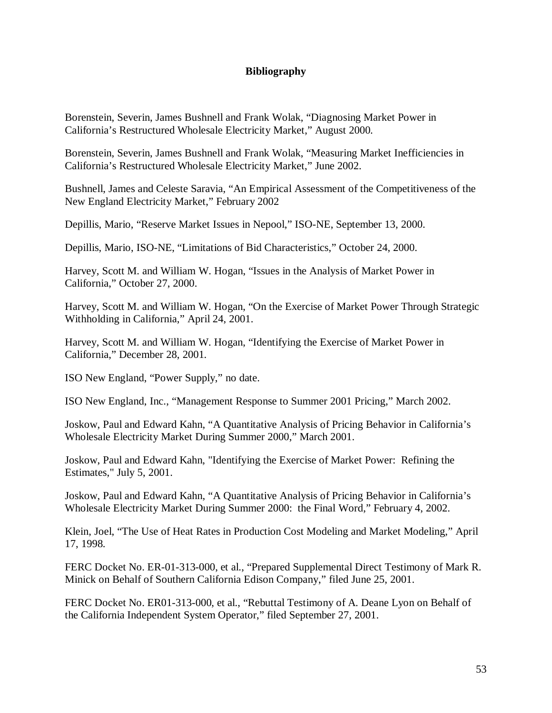### **Bibliography**

Borenstein, Severin, James Bushnell and Frank Wolak, "Diagnosing Market Power in California's Restructured Wholesale Electricity Market," August 2000.

Borenstein, Severin, James Bushnell and Frank Wolak, "Measuring Market Inefficiencies in California's Restructured Wholesale Electricity Market," June 2002.

Bushnell, James and Celeste Saravia, "An Empirical Assessment of the Competitiveness of the New England Electricity Market," February 2002

Depillis, Mario, "Reserve Market Issues in Nepool," ISO-NE, September 13, 2000.

Depillis, Mario, ISO-NE, "Limitations of Bid Characteristics," October 24, 2000.

Harvey, Scott M. and William W. Hogan, "Issues in the Analysis of Market Power in California," October 27, 2000.

Harvey, Scott M. and William W. Hogan, "On the Exercise of Market Power Through Strategic Withholding in California," April 24, 2001.

Harvey, Scott M. and William W. Hogan, "Identifying the Exercise of Market Power in California," December 28, 2001.

ISO New England, "Power Supply," no date.

ISO New England, Inc., "Management Response to Summer 2001 Pricing," March 2002.

Joskow, Paul and Edward Kahn, "A Quantitative Analysis of Pricing Behavior in California's Wholesale Electricity Market During Summer 2000," March 2001.

Joskow, Paul and Edward Kahn, "Identifying the Exercise of Market Power: Refining the Estimates," July 5, 2001.

Joskow, Paul and Edward Kahn, "A Quantitative Analysis of Pricing Behavior in California's Wholesale Electricity Market During Summer 2000: the Final Word," February 4, 2002.

Klein, Joel, "The Use of Heat Rates in Production Cost Modeling and Market Modeling," April 17, 1998.

FERC Docket No. ER-01-313-000, et al., "Prepared Supplemental Direct Testimony of Mark R. Minick on Behalf of Southern California Edison Company," filed June 25, 2001.

FERC Docket No. ER01-313-000, et al., "Rebuttal Testimony of A. Deane Lyon on Behalf of the California Independent System Operator," filed September 27, 2001.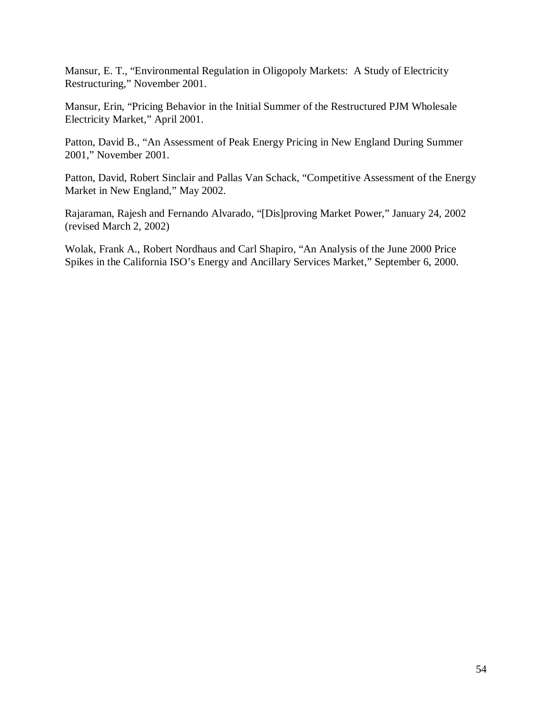Mansur, E. T., "Environmental Regulation in Oligopoly Markets: A Study of Electricity Restructuring," November 2001.

Mansur, Erin, "Pricing Behavior in the Initial Summer of the Restructured PJM Wholesale Electricity Market," April 2001.

Patton, David B., "An Assessment of Peak Energy Pricing in New England During Summer 2001," November 2001.

Patton, David, Robert Sinclair and Pallas Van Schack, "Competitive Assessment of the Energy Market in New England," May 2002.

Rajaraman, Rajesh and Fernando Alvarado, "[Dis]proving Market Power," January 24, 2002 (revised March 2, 2002)

Wolak, Frank A., Robert Nordhaus and Carl Shapiro, "An Analysis of the June 2000 Price Spikes in the California ISO's Energy and Ancillary Services Market," September 6, 2000.